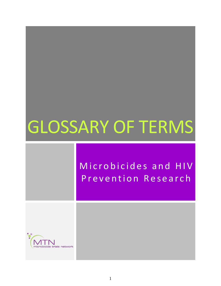# GLOSSARY OF TERMS

# Microbicides and HIV Prevention Research

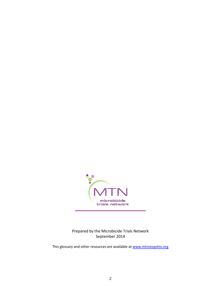

Prepared by the Microbicide Trials Network September 2014

This glossary and other resources are available at [www.mtnstopshiv.org](http://www.mtnstopshiv.org/)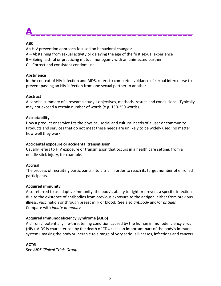**A\_\_\_\_\_\_\_\_\_\_\_\_\_\_\_\_\_\_\_\_\_\_\_\_\_\_\_\_\_\_\_\_**

#### **ABC**

An HIV prevention approach focused on behavioral changes:

- A Abstaining from sexual activity or delaying the age of the first sexual experience
- B Being faithful or practicing mutual monogamy with an uninfected partner
- C Correct and consistent condom use

#### **Abstinence**

In the context of HIV infection and AIDS, refers to complete avoidance of sexual intercourse to prevent passing an HIV infection from one sexual partner to another.

#### **Abstract**

A concise summary of a research study's objectives, methods, results and conclusions. Typically may not exceed a certain number of words (e.g. 150-250 words).

#### **Acceptability**

How a product or service fits the physical, social and cultural needs of a user or community. Products and services that do not meet these needs are unlikely to be widely used, no matter how well they work.

#### **Accidental exposure or accidental transmission**

Usually refers to HIV exposure or transmission that occurs in a health care setting, from a needle stick injury, for example.

#### **Accrual**

The process of recruiting participants into a trial in order to reach its target number of enrolled participants.

#### **Acquired immunity**

Also referred to as adaptive immunity, the body's ability to fight or prevent a specific infection due to the existence of antibodies from previous exposure to the antigen, either from previous illness, vaccination or through breast milk or blood. See also *antibody* and/or *antigen*. Compare with *innate immunity*.

#### **Acquired Immunodeficiency Syndrome (AIDS)**

A chronic, potentially life-threatening condition caused by the human immunodeficiency virus (HIV). AIDS is characterized by the death of CD4 cells (an important part of the body's immune system), making the body vulnerable to a range of very serious illnesses, infections and cancers.

#### **ACTG**

See *AIDS Clinical Trials Group*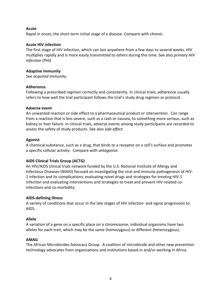#### **Acute**

Rapid in onset; the short-term initial stage of a disease. Compare with *chronic*.

#### **Acute HIV infection**

The first stage of HIV infection, which can last anywhere from a few days to several weeks. HIV multiplies rapidly and is more easily transmitted to others during this time. See also *primary HIV infection (PHI).*

#### **Adaptive Immunity**

See *acquired immunity*.

#### **Adherence**

Following a prescribed regimen correctly and consistently. In clinical trials, adherence usually refers to how well the trial participant follows the trial's study drug regimen or protocol.

#### **Adverse event**

An unwanted reaction or side effect to a pharmaceutical product or intervention. Can range from a reaction that is less severe, such as a rash or nausea, to something more serious, such as kidney or liver failure. In clinical trials, adverse events among study participants are recorded to assess the safety of study products. See also *[side effect](http://www.sfaf.org/custom/glossary.aspx?l=en&id=1355)*.

#### **Agonist**

A chemical substance, such as a drug, that binds to a receptor on a cell's surface and promotes a specific cellular activity. Compare with *[antagonist.](http://www.sfaf.org/custom/glossary.aspx?l=en&id=84)*

#### **AIDS Clinical Trials Group (ACTG)**

An HIV/AIDS clinical trials network funded by the U.S. National Institute of Allergy and Infectious Diseases (NIAID) focused on investigating the viral and immune pathogenesis of HIV-1 infection and its complications; evaluating novel drugs and strategies for treating HIV-1 infection and evaluating interventions and strategies to treat and prevent HIV-related coinfections and co-morbidity.

#### **AIDS-defining illness**

A variety of conditions that occur in the late stages of HIV infection and signal progression to AIDS.

#### **Allele**

A variation of a gene on a specific place on a chromosome; individual organisms have two alleles for each trait, which may be the same (homozygous) or different (heterozygous).

#### **AMAG**

The African Microbicides Advocacy Group. A coalition of microbicide and other new prevention technology advocates from organizations and institutions based in and/or working in Africa.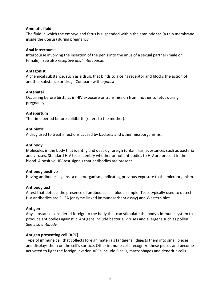#### **Amniotic fluid**

The fluid in which the embryo and fetus is suspended within the amniotic sac (a thin membrane inside the uterus) during pregnancy.

#### **Anal intercourse**

Intercourse involving the insertion of the penis into the anus of a sexual partner (male or female). See also *receptive anal intercourse*.

#### **Antagonist**

A chemical substance, such as a drug, that binds to a cell's receptor and blocks the action of another substance or drug. Compare with *agonist.*

#### **Antenatal**

Occurring before birth, as in HIV exposure or transmission from mother to fetus during pregnancy.

#### **Antepartum**

The time period before childbirth (refers to the mother).

#### **Antibiotic**

A drug used to treat infections caused by bacteria and other microorganisms.

#### **Antibody**

Molecules in the body that identify and destroy foreign (unfamiliar) substances such as bacteria and viruses. Standard HIV tests identify whether or not antibodies to HIV are present in the blood. A positive HIV test signals that antibodies are present.

#### **Antibody positive**

Having antibodies against a microorganism, indicating previous exposure to the microorganism.

#### **Antibody test**

A test that detects the presence of antibodies in a blood sample. Tests typically used to detect HIV antibodies are ELISA (enzyme-linked immunosorbent assay) and Western blot.

#### **Antigen**

Any substance considered foreign to the body that can stimulate the body's immune system to produce antibodies against it. Antigens include bacteria, viruses and allergens such as pollen. See also *antibody.*

#### **Antigen presenting cell (APC)**

Type of immune cell that collects foreign materials (antigens), digests them into small pieces, and displays them on the cell's surface. Other immune cells recognize these pieces and become activated to fight the foreign invader. APCs include B cells, macrophages and dendritic cells.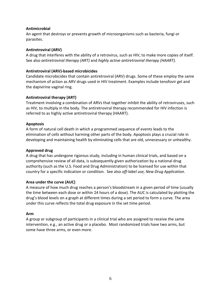#### **Antimicrobial**

An agent that destroys or prevents growth of microorganisms such as bacteria, fungi or parasites.

#### **Antiretroviral (ARV)**

A drug that interferes with the ability of a retrovirus, such as HIV, to make more copies of itself. See also *antiretroviral therapy (ART)* and *highly active antiretroviral therapy (HAART).*

#### **Antiretroviral (ARV)-based microbicides**

Candidate microbicides that contain antiretroviral (ARV) drugs. Some of these employ the same mechanism of action as ARV drugs used in HIV treatment. Examples include tenofovir gel and the dapivirine vaginal ring.

#### **Antiretroviral therapy (ART)**

Treatment involving a combination of ARVs that together inhibit the ability of retroviruses, such as HIV, to multiply in the body. The antiretroviral therapy recommended for HIV infection is referred to as highly active antiretroviral therapy (HAART).

#### **Apoptosis**

A form of natural cell death in which a programmed sequence of events leads to the elimination of cells without harming other parts of the body. Apoptosis plays a crucial role in developing and maintaining health by eliminating cells that are old, unnecessary or unhealthy.

#### **Approved drug**

A drug that has undergone rigorous study, including in human clinical trials, and based on a comprehensive review of all data, is subsequently given authorization by a national drug authority (such as the U.S. Food and Drug Administration) to be licensed for use within that country for a specific indication or condition. See also *off-label use, New Drug Application*.

#### **Area under the curve (AUC)**

A measure of how much drug reaches a person's bloodstream in a given period of time (usually the time between each dose or within 24 hours of a dose). The AUC is calculated by plotting the drug's blood levels on a graph at different times during a set period to form a curve. The area under this curve reflects the total drug exposure in the set time period.

#### **Arm**

A group or subgroup of participants in a clinical trial who are assigned to receive the same intervention, e.g., an active drug or a placebo. Most randomized trials have two arms, but some have three arms, or even more.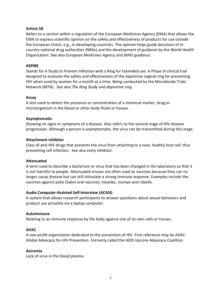#### **Article 58**

Refers to a section within a regulation of the European Medicines Agency (EMA) that allows the EMA to express scientific opinion on the safety and effectiveness of products for use outside the European Union, e.g., in developing countries. The opinion helps guide decisions of incountry national drug authorities (NRAs) and the development of guidance by the World Health Organization. See also *European Medicines Agency* and *WHO guidance*.

#### **ASPIRE**

Stands for A Study to Prevent Infection with a Ring for Extended use. A Phase III clinical trial designed to evaluate the safety and effectiveness of the dapivirine vaginal ring for preventing HIV when used by women for a month at a time. Being conducted by the Microbicide Trials Network (MTN). See also *The Ring Study* and *dapivirine ring*.

#### **Assay**

A test used to detect the presence or concentration of a chemical marker, drug or microorganism in the blood or other body fluids or tissues.

#### **Asymptomatic**

Showing no signs or symptoms of a disease. Also refers to the second stage of HIV disease progression. Although a person is asymptomatic, the virus can be transmitted during this stage.

#### **Attachment inhibitor**

Class of anti-HIV drugs that prevents the virus from attaching to a new, healthy host cell, thus preventing cell infection. See also *entry inhibitor.*

#### **Attenuated**

A term used to describe a bacterium or virus that has been changed in the laboratory so that it is not harmful to people. Attenuated viruses are often used as vaccines because they can no longer cause disease but can still stimulate a strong immune response. Examples include the vaccines against polio (Sabin oral vaccine), measles, mumps and rubella.

#### **Audio Computer-Assisted Self-Interview (ACASI)**

A system that allows research participants to answer questions about sexual behaviors and product use privately via a laptop computer.

#### **Autoimmune**

Relating to an immune response by the body against one of its own cells or tissues.

#### **AVAC**

A non-profit organization dedicated to the prevention of HIV. First reference may be AVAC: Global Advocacy for HIV Prevention. Formerly called the AIDS Vaccine Advocacy Coalition

#### **Aviremia**

Lack of virus in the blood plasma.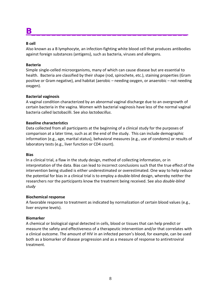# **B\_\_\_\_\_\_\_\_\_\_\_\_\_\_\_\_\_\_\_\_\_\_\_\_\_\_\_\_\_\_\_**

#### **B cell**

Also known as a B lymphocyte, an infection-fighting white blood cell that produces antibodies against foreign substances (antigens), such as bacteria, viruses and allergens.

#### **Bacteria**

Simple single-celled microorganisms, many of which can cause disease but are essential to health. Bacteria are classified by their shape (rod, spirochete, etc.), staining properties (Gram positive or Gram negative), and habitat (aerobic – needing oxygen, or anaerobic – not needing oxygen).

#### **Bacterial vaginosis**

A vaginal condition characterized by an abnormal vaginal discharge due to an overgrowth of certain bacteria in the vagina. Women with bacterial vaginosis have less of the normal vaginal bacteria called lactobacilli. See also *lactobacillus*.

#### **Baseline characteristics**

Data collected from all participants at the beginning of a clinical study for the purposes of comparison at a later time, such as at the end of the study. This can include demographic information (e.g., age, marital status), behavioral measures (e.g., use of condoms) or results of laboratory tests (e.g., liver function or CD4 count).

#### **Bias**

In a clinical trial, a flaw in the study design, method of collecting information, or in interpretation of the data. Bias can lead to incorrect conclusions such that the true effect of the intervention being studied is either underestimated or overestimated. One way to help reduce the potential for bias in a clinical trial is to employ a double-blind design, whereby neither the researchers nor the participants know the treatment being received. See also *double-blind study*

#### **Biochemical response**

A favorable response to treatment as indicated by normalization of certain blood values (e.g., liver enzyme levels).

#### **Biomarker**

A chemical or biological signal detected in cells, blood or tissues that can help predict or measure the safety and effectiveness of a therapeutic intervention and/or that correlates with a clinical outcome. The amount of HIV in an infected person's blood, for example, can be used both as a biomarker of disease progression and as a measure of response to antiretroviral treatment.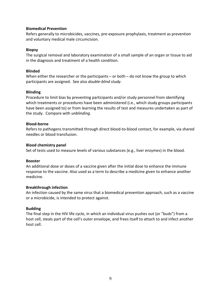#### **Biomedical Prevention**

Refers generally to microbicides, vaccines, pre-exposure prophylaxis, treatment as prevention and voluntary medical male circumcision.

#### **Biopsy**

The surgical removal and laboratory examination of a small sample of an organ or tissue to aid in the diagnosis and treatment of a health condition.

#### **Blinded**

When either the researcher or the participants – or both – do not know the group to which participants are assigned. See also *double-blind study*.

#### **Blinding**

Procedure to limit bias by preventing participants and/or study personnel from identifying which treatments or procedures have been administered (i.e., which study groups participants have been assigned to) or from learning the results of test and measures undertaken as part of the study. Compare with *unblinding*.

#### **Blood-borne**

Refers to pathogens transmitted through direct blood-to-blood contact, for example, via shared needles or blood transfusion.

#### **Blood chemistry panel**

Set of tests used to measure levels of various substances (e.g., liver enzymes) in the blood.

#### **Booster**

An additional dose or doses of a vaccine given after the initial dose to enhance the immune response to the vaccine. Also used as a term to describe a medicine given to enhance another medicine.

#### **Breakthrough infection**

An [infection](http://encyclopedia.thefreedictionary.com/Infection) caused by the same virus that a biomedical prevention approach, such as a vaccine or a microbicide, is intended to protect against.

#### **Budding**

The final step in the HIV life cycle, in which an individual virus pushes out (or "buds") from a host cell, steals part of the cell's outer envelope, and frees itself to attach to and infect another host cell.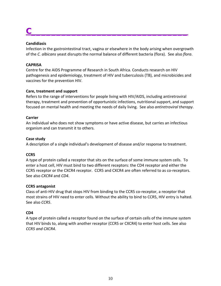# **C\_\_\_\_\_\_\_\_\_\_\_\_\_\_\_\_\_\_\_\_\_\_\_\_\_\_\_\_\_\_\_**

#### **Candidiasis**

Infection in the gastrointestinal tract, vagina or elsewhere in the body arising when overgrowth of the *C. albicans* yeast disrupts the normal balance of different bacteria (flora). See also *flora*.

#### **CAPRISA**

Centre for the AIDS Programme of Research in South Africa. Conducts research on HIV pathogenesis and epidemiology, treatment of HIV and tuberculosis (TB), and microbicides and vaccines for the prevention HIV.

#### **Care, treatment and support**

Refers to the range of interventions for people living with HIV/AIDS, including antiretroviral therapy, treatment and prevention of opportunistic infections, nutritional support, and support focused on mental health and meeting the needs of daily living. See also *antiretroviral therapy*.

#### **Carrier**

An individual who does not show symptoms or have active disease, but carries an infectious organism and can transmit it to others.

#### **Case study**

A description of a single individual's development of disease and/or response to treatment.

#### **CCR5**

A type of protein called a receptor that sits on the surface of some immune system cells. To enter a host cell, HIV must bind to two different receptors: the CD4 receptor and either the CCR5 receptor or the CXCR4 receptor. CCR5 and CXCR4 are often referred to as co-receptors. See also *CXCR4* and *CD4*.

#### **CCR5 antagonist**

Class of anti-HIV drug that stops HIV from binding to the CCR5 co-receptor, a receptor that most strains of HIV need to enter cells. Without the ability to bind to CCR5, HIV entry is halted. See also *CCR5*.

#### **CD4**

A type of protein called a receptor found on the surface of certain cells of the immune system that HIV binds to, along with another receptor (CCR5 or CXCR4) to enter host cells. See also *CCR5 and CXCR4*.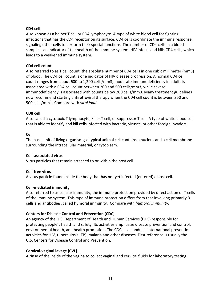#### **CD4 cell**

Also known as a helper T cell or CD4 lymphocyte. A type of white blood cell for fighting infections that has the CD4 receptor on its surface. CD4 cells coordinate the immune response, signaling other cells to perform their special functions. The number of CD4 cells in a blood sample is an indicator of the health of the immune system. HIV infects and kills CD4 cells, which leads to a weakened immune system.

#### **CD4 cell count**

Also referred to as T cell count, the absolute number of CD4 cells in one cubic millimeter (mm3) of blood. The CD4 cell count is one indicator of HIV disease progression. A normal CD4 cell count ranges from about 600 to 1,200 cells/mm3; moderate immunodeficiency in adults is associated with a CD4 cell count between 200 and 500 cells/mm3, while severe immunodeficiency is associated with counts below 200 cells/mm3. Many treatment guidelines now recommend starting antiretroviral therapy when the CD4 cell count is between 350 and 500 cells/mm<sup>3</sup> . Compare with *viral load*.

#### **CD8 cell**

Also called a cytotoxic T lymphocyte, killer T cell, or suppressor T cell. A type of white blood cell that is able to identify and kill cells infected with bacteria, viruses, or other foreign invaders.

#### **Cell**

The basic unit of living organisms; a typical animal cell contains a nucleus and a cell membrane surrounding the intracellular material, or cytoplasm.

#### **Cell-associated virus**

Virus particles that remain attached to or within the host cell.

#### **Cell-free virus**

A virus particle found inside the body that has not yet infected (entered) a host cell.

#### **Cell-mediated immunity**

Also referred to as cellular immunity, the immune protection provided by direct action of T-cells of the immune system. This type of immune protection differs from that involving primarily B cells and antibodies, called humoral immunity. Compare with *humoral immunity*.

#### **Centers for Disease Control and Prevention (CDC)**

An agency of the U.S. Department of Health and Human Services (HHS) responsible for protecting people's health and safety. Its activities emphasize disease prevention and control, environmental health, and health promotion. The CDC also conducts international prevention activities for HIV, tuberculosis (TB), malaria and other diseases. First reference is usually the U.S. Centers for Disease Control and Prevention.

#### **Cervical-vaginal lavage (CVL)**

A rinse of the inside of the vagina to collect vaginal and cervical fluids for laboratory testing.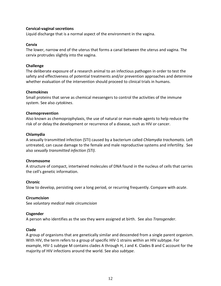#### **Cervical-vaginal secretions**

Liquid discharge that is a normal aspect of the environment in the vagina.

#### **Cervix**

The lower, narrow end of the uterus that forms a canal between the uterus and vagina. The cervix protrudes slightly into the vagina.

#### **Challenge**

The deliberate exposure of a research animal to an infectious pathogen in order to test the safety and effectiveness of potential treatments and/or prevention approaches and determine whether evaluation of the intervention should proceed to clinical trials in humans.

#### **Chemokines**

Small proteins that serve as chemical messengers to control the activities of the immune system. See also *cytokines*.

#### **Chemoprevention**

Also known as chemoprophylaxis, the use of natural or man-made agents to help reduce the risk of or delay the development or recurrence of a disease, such as HIV or cancer.

#### **Chlamydia**

A sexually transmitted infection (STI) caused by a bacterium called *Chlamydia trachomatis*. Left untreated, can cause damage to the female and male reproductive systems and infertility. See also *sexually transmitted infection (STI)*.

#### **Chromosome**

A structure of compact, intertwined molecules of DNA found in the nucleus of cells that carries the cell's genetic information.

#### **Chronic**

Slow to develop, persisting over a long period, or recurring frequently. Compare with *[acute](http://www.sfaf.org/custom/glossary.aspx?l=en&id=16)*.

#### **Circumcision**

See *voluntary medical male circumcision*

#### **Cisgender**

A person who identifies as the sex they were assigned at birth. See also *Transgender*.

#### **Clade**

A group of organisms that are genetically similar and descended from a single parent organism. With HIV, the term refers to a group of specific HIV-1 strains within an HIV subtype. For example, HIV-1 subtype M contains clades A through H, J and K. Clades B and C account for the majority of HIV infections around the world. See also *subtype*.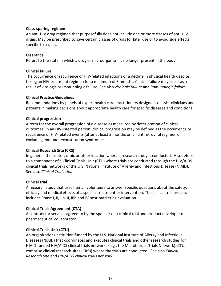#### **Class-sparing regimen**

An anti-HIV drug regimen that purposefully does not include one or more classes of anti-HIV drugs. May be prescribed to save certain classes of drugs for later use or to avoid side effects specific to a class.

#### **Clearance**

Refers to the state in which a drug or microorganism is no longer present in the body.

#### **Clinical failure**

The occurrence or recurrence of HIV-related infections or a decline in physical health despite taking an HIV treatment regimen for a minimum of 3 months. Clinical failure may occur as a result of virologic or immunologic failure. See also *virologic failure* and *immunologic failure.*

#### **Clinical Practice Guidelines**

Recommendations by panels of expert health care practitioners designed to assist clinicians and patients in making decisions about appropriate health care for specific diseases and conditions.

#### **Clinical progression**

A term for the overall progression of a disease as measured by deterioration of clinical outcomes. In an HIV-infected person, clinical progression may be defined as the occurrence or recurrence of HIV-related events (after at least 3 months on an antiretroviral regimen), excluding immune reconstitution syndromes.

#### **Clinical Research Site (CRS)**

In general, the center, clinic or other location where a research study is conducted. Also refers to a component of a Clinical Trials Unit (CTU) where trials are conducted through the HIV/AIDS clinical trials networks of the U.S. National Institute of Allergy and Infectious Disease (NIAID). See also *Clinical Trials Unit*.

#### **Clinical trial**

A research study that uses human volunteers to answer specific questions about the safety, efficacy and medical effects of a specific treatment or intervention. The clinical trial process includes Phase I, II, IIb, II, IIIb and IV post-marketing evaluation.

#### **Clinical Trials Agreement (CTA)**

A contract for services agreed to by the sponsor of a clinical trial and product developer or pharmaceutical collaborator.

#### **Clinical Trials Unit (CTU)**

An organization/institution funded by the U.S. National Institute of Allergy and Infectious Diseases (NIAID) that coordinates and executes clinical trials and other research studies for NIAID-funded HIV/AIDS clinical trials networks (e.g., the Microbicides Trials Network). CTUs comprise clinical research sites (CRSs) where the trials are conducted. See also *Clinical Research Site* and *HIV/AIDS clinical trials network*.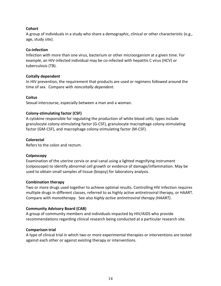#### **Cohort**

A group of individuals in a study who share a demographic, clinical or other characteristic (e.g., age, study site).

#### **Co-infection**

Infection with more than one virus, bacterium or other microorganism at a given time. For example, an HIV-infected individual may be co-infected with hepatitis C virus (HCV) or tuberculosis (TB).

#### **Coitally dependent**

In HIV prevention, the requirement that products are used or regimens followed around the time of sex. Compare with *noncoitally dependent*.

#### **Coitus**

Sexual intercourse, especially between a man and a woman.

#### **Colony-stimulating factor (CSF)**

A cytokine responsible for regulating the production of white blood cells; types include granulocyte colony-stimulating factor (G-CSF), granulocyte macrophage colony-stimulating factor (GM-CSF), and macrophage colony-stimulating factor (M-CSF).

#### **Colorectal**

Refers to the colon and rectum.

#### **Colposcopy**

Examination of the uterine cervix or anal canal using a lighted magnifying instrument (colposcope) to identify abnormal cell growth or evidence of damage/inflammation. May be used to obtain small samples of tissue (biopsy) for laboratory analysis.

#### **Combination therapy**

Two or more drugs used together to achieve optimal results. Controlling HIV infection requires multiple drugs in different classes, referred to as highly active antiretroviral therapy, or HAART. Compare with *monotherapy*. See also *highly active antiretroviral therapy (HAART)*.

#### **Community Advisory Board (CAB)**

A group of community members and individuals impacted by HIV/AIDS who provide recommendations regarding clinical research being conducted at a particular research site.

#### **Comparison trial**

A type of clinical trial in which two or more experimental therapies or interventions are tested against each other or against existing therapy or interventions.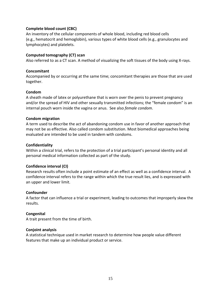#### **Complete blood count (CBC)**

An inventory of the cellular components of whole blood, including red blood cells (e.g., hematocrit and hemoglobin), various types of white blood cells (e.g., granulocytes and lymphocytes) and platelets.

#### **Computed tomography (CT) scan**

Also referred to as a CT scan. A method of visualizing the soft tissues of the body using X-rays.

#### **Concomitant**

Accompanied by or occurring at the same time; concomitant therapies are those that are used together.

#### **Condom**

A sheath made of latex or polyurethane that is worn over the penis to prevent pregnancy and/or the spread of HIV and other sexually transmitted infections; the "female condom" is an internal pouch worn inside the vagina or anus. See also *female condom*.

#### **Condom migration**

A term used to describe the act of abandoning condom use in favor of another approach that may not be as effective. Also called condom substitution. Most biomedical approaches being evaluated are intended to be used in tandem with condoms.

#### **Confidentiality**

Within a clinical trial, refers to the protection of a trial participant's personal identity and all personal medical information collected as part of the study.

#### **Confidence interval (CI)**

Research results often include a point estimate of an effect as well as a confidence interval. A confidence interval refers to the range within which the true result lies, and is expressed with an upper and lower limit.

#### **Confounder**

A factor that can influence a trial or experiment, leading to outcomes that improperly skew the results.

#### **Congenital**

A trait present from the time of birth.

#### **Conjoint analysis**

A statistical technique used in market research to determine how people value different features that make up an individual product or service.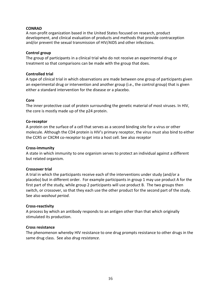#### **CONRAD**

A non-profit organization based in the United States focused on research, product development, and clinical evaluation of products and methods that provide contraception and/or prevent the sexual transmission of HIV/AIDS and other infections.

#### **Control group**

The group of participants in a clinical trial who do not receive an experimental drug or treatment so that comparisons can be made with the group that does.

#### **Controlled trial**

A type of clinical trial in which observations are made between one group of participants given an experimental drug or intervention and another group (i.e., the control group) that is given either a standard intervention for the disease or a placebo.

#### **Core**

The inner protective coat of protein surrounding the genetic material of most viruses. In HIV, the core is mostly made up of the p24 protein.

#### **Co-receptor**

A protein on the surface of a cell that serves as a second binding site for a virus or other molecule. Although the CD4 protein is HIV's primary receptor, the virus must also bind to either the CCR5 or CXCR4 co-receptor to get into a host cell. See also *receptor*

#### **Cross-immunity**

A state in which immunity to one organism serves to protect an individual against a different but related organism.

#### **Crossover trial**

A trial in which the participants receive each of the interventions under study (and/or a placebo) but in different order. For example participants in group 1 may use product A for the first part of the study, while group 2 participants will use product B. The two groups then switch, or crossover, so that they each use the other product for the second part of the study. See also *washout period*.

#### **Cross-reactivity**

A process by which an antibody responds to an antigen other than that which originally stimulated its production.

#### **Cross resistance**

The phenomenon whereby HIV resistance to one drug prompts resistance to other drugs in the same drug class. See also *drug resistance*.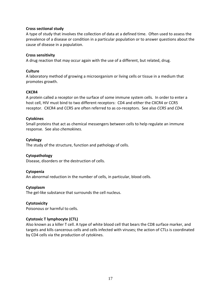#### **Cross sectional study**

A type of study that involves the collection of data at a defined time. Often used to assess the prevalence of a disease or condition in a particular population or to answer questions about the cause of disease in a population.

#### **Cross sensitivity**

A drug reaction that may occur again with the use of a different, but related, drug.

#### **Culture**

A laboratory method of growing a microorganism or living cells or tissue in a medium that promotes growth.

#### **CXCR4**

A protein called a receptor on the surface of some immune system cells. In order to enter a host cell, HIV must bind to two different receptors: CD4 and either the CXCR4 or CCR5 receptor. CXCR4 and CCR5 are often referred to as co-receptors. See also *CCR5* and *CD4*.

#### **Cytokines**

Small proteins that act as chemical messengers between cells to help regulate an immune response. See also *chemokines.*

#### **Cytology**

The study of the structure, function and pathology of cells.

#### **Cytopathology**

Disease, disorders or the destruction of cells.

#### **Cytopenia**

An abnormal reduction in the number of cells, in particular, blood cells.

#### **Cytoplasm**

The gel-like substance that surrounds the cell nucleus.

#### **Cytotoxicity**

Poisonous or harmful to cells.

#### **Cytotoxic T lymphocyte (CTL)**

Also known as a killer T cell. A type of white blood cell that bears the CD8 surface marker, and targets and kills cancerous cells and cells infected with viruses; the action of CTLs is coordinated by CD4 cells via the production of cytokines.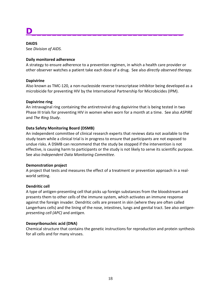# **D\_\_\_\_\_\_\_\_\_\_\_\_\_\_\_\_\_\_\_\_\_\_\_\_\_\_\_\_\_\_**

#### **DAIDS**

See *Division of AIDS.*

#### **Daily monitored adherence**

A strategy to ensure adherence to a prevention regimen, in which a health care provider or other observer watches a patient take each dose of a drug. See also *directly observed therapy.*

#### **Dapivirine**

Also known as TMC-120, a non-nucleoside reverse transcriptase inhibitor being developed as a microbicide for preventing HIV by the International Partnership for Microbicides (IPM).

#### **Dapivirine ring**

An intravaginal ring containing the antiretroviral drug dapivirine that is being tested in two Phase III trials for preventing HIV in women when worn for a month at a time. See also *ASPIRE*  and *The Ring Study*.

#### **Data Safety Monitoring Board (DSMB)**

An independent committee of clinical research experts that reviews data not available to the study team while a clinical trial is in progress to ensure that participants are not exposed to undue risks. A DSMB can recommend that the study be stopped if the intervention is not effective, is causing harm to participants or the study is not likely to serve its scientific purpose. See also *Independent Data Monitoring Committee*.

#### **Demonstration project**

A project that tests and measures the effect of a treatment or prevention approach in a realworld setting.

#### **Dendritic cell**

A type of antigen-presenting cell that picks up foreign substances from the bloodstream and presents them to other cells of the immune system, which activates an immune response against the foreign invader. Dendritic cells are present in skin (where they are often called Langerhans cells) and the lining of the nose, intestines, lungs and genital tract. See also *antigenpresenting cell (APC)* and *antigen.*

#### **Deoxyribonucleic acid (DNA)**

Chemical structure that contains the genetic instructions for reproduction and protein synthesis for all cells and for many viruses.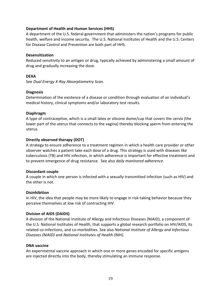#### **Department of Health and Human Services (HHS)**

A department of the U.S. federal government that administers the nation's programs for public health, welfare and income security. The U.S. National Institutes of Health and the U.S. Centers for Disease Control and Prevention are both part of HHS.

#### **Desensitization**

Reduced sensitivity to an antigen or drug, typically achieved by administering a small amount of drug and gradually increasing the dose.

#### **DEXA**

See *Dual Energy X-Ray Absorptiometry Scan.*

#### **Diagnosis**

Determination of the existence of a disease or condition through evaluation of an individual's medical history, clinical symptoms and/or laboratory test results.

#### **Diaphragm**

A type of contraceptive, which is a small latex or silicone dome/cup that covers the cervix (the lower part of the uterus that connects to the vagina) thereby blocking sperm from entering the uterus.

#### **Directly observed therapy (DOT)**

A strategy to ensure adherence to a treatment regimen in which a health care provider or other observer watches a patient take each dose of a drug. This strategy is used with diseases like tuberculosis (TB) and HIV infection, in which adherence is important for effective treatment and to prevent emergence of drug resistance. See also *daily monitored adherence*.

#### **Discordant couple**

A couple in which one person is infected with a sexually transmitted infection (such as HIV) and the other is not.

#### **Disinhibition**

In HIV, the idea that people may be more likely to engage in risk-taking behavior because they perceive themselves at low risk of contracting HIV.

#### **Division of AIDS (DAIDS)**

A division of the National Institute of Allergy and Infectious Diseases (NIAID), a component of the U.S. National Institutes of Health, that supports a global research portfolio on HIV/AIDS, its related co-infections, and co-morbidities. See also *National Institute of Allergy and Infectious Diseases (NIAID)* and *National Institutes of Health (NIH).*

#### **DNA vaccine**

An experimental vaccine approach in which one or more genes encoded for specific antigens are injected directly into the body, thereby stimulating an immune response.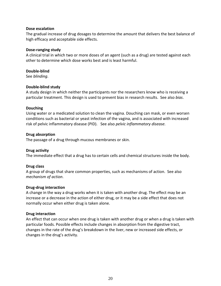#### **Dose escalation**

The gradual increase of drug dosages to determine the amount that delivers the best balance of high efficacy and acceptable side effects.

#### **Dose-ranging study**

A clinical trial in which two or more doses of an agent (such as a drug) are tested against each other to determine which dose works best and is least harmful.

#### **Double-blind**

See *[blinding](http://www.sfaf.org/custom/glossary.aspx?l=en&id=174)*.

#### **Double-blind study**

A study design in which neither the participants nor the researchers know who is receiving a particular treatment. This design is used to prevent bias in research results. See also *bias*.

#### **Douching**

Using water or a medicated solution to clean the vagina. Douching can mask, or even worsen conditions such as bacterial or yeast infection of the vagina, and is associated with increased risk of pelvic inflammatory disease (PID). See also *pelvic inflammatory disease.*

#### **Drug absorption**

The passage of a drug through mucous membranes or skin.

#### **Drug activity**

The immediate effect that a drug has to certain cells and chemical structures inside the body.

#### **Drug class**

A group of drugs that share common properties, such as mechanisms of action. See also *mechanism of action*.

#### **Drug-drug interaction**

A change in the way a drug works when it is taken with another drug. The effect may be an increase or a decrease in the action of either drug, or it may be a side effect that does not normally occur when either drug is taken alone.

#### **Drug interaction**

An effect that can occur when one drug is taken with another drug or when a drug is taken with particular foods. Possible effects include changes in absorption from the digestive tract, changes in the rate of the drug's breakdown in the liver, new or increased side effects, or changes in the drug's activity.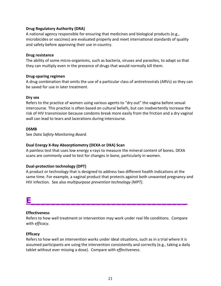#### **Drug Regulatory Authority (DRA)**

A national agency responsible for ensuring that medicines and biological products (e.g., microbicides or vaccines) are evaluated properly and meet international standards of quality and safety before approving their use in-country.

#### **Drug resistance**

The ability of some micro-organisms, such as bacteria, viruses and parasites, to adapt so that they can multiply even in the presence of drugs that would normally kill them.

#### **Drug-sparing regimen**

A drug combination that omits the use of a particular class of antiretrovirals (ARVs) so they can be saved for use in later treatment.

#### **Dry sex**

Refers to the practice of women using various agents to "dry out" the vagina before sexual intercourse. This practice is often based on cultural beliefs, but can inadvertently increase the risk of HIV transmission because condoms break more easily from the friction and a dry vaginal wall can lead to tears and lacerations during intercourse.

#### **DSMB**

See *Data Safety Monitoring Board.*

#### **Dual Energy X-Ray Absorptiometry (DEXA or DXA) Scan**

A painless test that uses low energy x-rays to measure the mineral content of bones. DEXA scans are commonly used to test for changes in bone, particularly in women.

#### **Dual-protection technology (DPT)**

A product or technology that is designed to address two different health indications at the same time. For example, a vaginal product that protects against both unwanted pregnancy and HIV infection. See also *multipurpose prevention technology (MPT)*.

### **E\_\_\_\_\_\_\_\_\_\_\_\_\_\_\_\_\_\_\_\_\_\_\_\_\_\_\_\_\_\_\_**

#### **Effectiveness**

Refers to how well treatment or intervention may work under real life conditions. Compare with *efficacy*.

#### **Efficacy**

Refers to how well an intervention works under ideal situations, such as in a trial where it is assumed participants are using the intervention consistently and correctly (e.g., taking a daily tablet without ever missing a dose). Compare with *effectiveness*.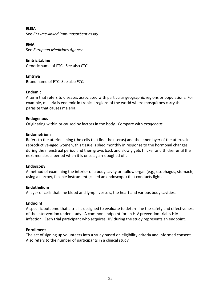**ELISA** See *Enzyme-linked immunosorbent assay*.

**EMA** See *European Medicines Agency*.

**Emtricitabine** Generic name of FTC. See also *FTC*.

**Emtriva** Brand name of FTC. See also *FTC*.

#### **Endemic**

A term that refers to diseases associated with particular geographic regions or populations. For example, malaria is endemic in tropical regions of the world where mosquitoes carry the parasite that causes malaria.

#### **Endogenous**

Originating within or caused by factors in the body. Compare with *exogenous*.

#### **Endometrium**

Refers to the uterine lining (the cells that line the uterus) and the inner layer of the uterus. In reproductive-aged women, this tissue is shed monthly in response to the hormonal changes during the menstrual period and then grows back and slowly gets thicker and thicker until the next menstrual period when it is once again sloughed off.

#### **Endoscopy**

A method of examining the interior of a body cavity or hollow organ (e.g., esophagus, stomach) using a narrow, flexible instrument (called an endoscope) that conducts light.

#### **Endothelium**

A layer of cells that line blood and lymph vessels, the heart and various body cavities.

#### **Endpoint**

A specific outcome that a trial is designed to evaluate to determine the safety and effectiveness of the intervention under study. A common endpoint for an HIV prevention trial is HIV infection. Each trial participant who acquires HIV during the study represents an endpoint.

#### **Enrollment**

The act of signing up volunteers into a study based on eligibility criteria and [informed consent.](http://www.clinicaltrials.gov/ct2/info/glossary#informed#informed) Also refers to the number of participants in a clinical study.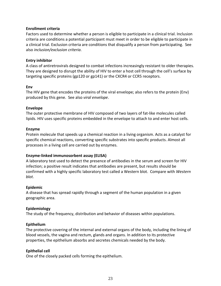#### **Enrollment criteria**

Factors used to determine whether a person is eligible to participate in a clinical trial. Inclusion criteria are conditions a potential participant must meet in order to be eligible to participate in a clinical trial. Exclusion criteria are conditions that disqualify a person from participating. See also *inclusion/exclusion criteria*.

#### **Entry inhibitor**

A class of antiretrovirals designed to combat infections increasingly resistant to older therapies. They are designed to disrupt the ability of HIV to enter a host cell through the cell's surface by targeting specific proteins (gp120 or gp141) or the CXCR4 or CCR5 receptors.

#### **Env**

The HIV gene that encodes the proteins of the viral envelope; also refers to the protein (Env) produced by this gene. See also *viral envelope*.

#### **Envelope**

The outer protective membrane of HIV composed of two layers of fat-like molecules called lipids. HIV uses specific proteins embedded in the envelope to attach to and enter host cells.

#### **Enzyme**

Protein molecule that speeds up a chemical reaction in a living organism. Acts as a catalyst for specific chemical reactions, converting specific substrates into specific products. Almost all processes in a living cell are carried out by enzymes.

#### **Enzyme-linked immunosorbent assay (ELISA)**

A laboratory test used to detect the presence of antibodies in the serum and screen for HIV infection; a positive result indicates that antibodies are present, but results should be confirmed with a highly specific laboratory test called a Western blot. Compare with *Western blot*.

#### **Epidemic**

A disease that has spread rapidly through a segment of the human population in a given geographic area.

#### **Epidemiology**

The study of the frequency, distribution and behavior of diseases within populations.

#### **Epithelium**

The protective covering of the internal and external organs of the body, including the lining of blood vessels, the vagina and rectum, glands and organs. In addition to its protective properties, the epithelium absorbs and secretes chemicals needed by the body.

#### **Epithelial cell**

One of the closely packed cells forming the epithelium.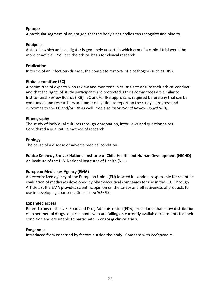#### **Epitope**

A particular segment of an antigen that the body's antibodies can recognize and bind to.

#### **Equipoise**

A state in which an investigator is genuinely uncertain which arm of a clinical trial would be more beneficial. Provides the ethical basis for clinical research.

#### **Eradication**

In terms of an infectious disease, the complete removal of a pathogen (such as HIV).

#### **Ethics committee (EC)**

A committee of experts who review and monitor clinical trials to ensure their ethical conduct and that the rights of study participants are protected. Ethics committees are similar to Institutional Review Boards (IRB). EC and/or IRB approval is required before any trial can be conducted, and researchers are under obligation to report on the study's progress and outcomes to the EC and/or IRB as well. See also *Institutional Review Board (IRB)*.

#### **Ethnography**

The study of individual cultures through observation, interviews and questionnaires. Considered a qualitative method of research.

#### **Etiology**

The cause of a disease or adverse medical condition.

#### **Eunice Kennedy Shriver National Institute of Child Health and Human Development (NICHD)**

An institute of the U.S. National Institutes of Health (NIH).

#### **European Medicines Agency (EMA)**

A decentralized agency of the European Union (EU) located in London, responsible for scientific evaluation of medicines developed by pharmaceutical companies for use in the EU. Through Article 58, the EMA provides scientific opinion on the safety and effectiveness of products for use in developing countries. See also *Article 58*.

#### **Expanded access**

Refers to any of the U.S. Food and Drug Administration (FDA) procedures that allow distribution of experimental drugs to participants who are failing on currently available treatments for their condition and are unable to participate in ongoing clinical trials.

#### **Exogenous**

Introduced from or carried by factors outside the body. Compare with *endogenous*.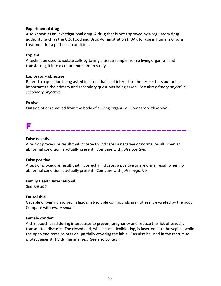#### **Experimental drug**

Also known as an investigational drug. A drug that is not approved by a regulatory drug authority, such as the U.S. Food and Drug Administration (FDA), for use in humans or as a treatment for a particular condition.

#### **Explant**

A technique used to isolate cells by taking a tissue sample from a living organism and transferring it into a culture medium to study.

#### **Exploratory objective**

Refers to a question being asked in a trial that is of interest to the researchers but not as important as the primary and secondary questions being asked. See also *primary objective, secondary objective*.

#### **Ex vivo**

Outside of or removed from the body of a living organism. Compare with *in vivo*.

### **F\_\_\_\_\_\_\_\_\_\_\_\_\_\_\_\_\_\_\_\_\_\_\_\_\_\_\_\_\_\_\_**

#### **False negative**

A test or procedure result that incorrectly indicates a negative or normal result when an abnormal condition is actually present. Compare with *false positive*.

#### **False positive**

A test or procedure result that incorrectly indicates a positive or abnormal result when no abnormal condition is actually present. Compare with *false negative*

#### **Family Health International**

See *FHI 360.*

#### **Fat soluble**

Capable of being dissolved in lipids; fat-soluble compounds are not easily excreted by the body. Compare with *[water soluble](http://www.sfaf.org/custom/glossary.aspx?l=en&id=1547)*.

#### **Female condom**

A thin pouch used during intercourse to prevent pregnancy and reduce the risk of sexually transmitted diseases. The closed end, which has a flexible ring, is inserted into the vagina, while the open end remains outside, partially covering the labia. Can also be used in the rectum to protect against HIV during anal sex. See also *condom*.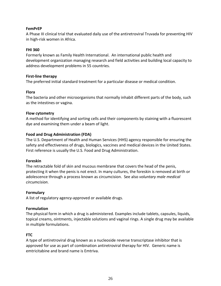#### **FemPrEP**

A Phase III clinical trial that evaluated daily use of the antiretroviral Truvada for preventing HIV in high-risk women in Africa.

#### **FHI 360**

Formerly known as Family Health International. An international public health and development organization managing research and field activities and building local capacity to address development problems in 55 countries.

#### **First-line therapy**

The preferred initial standard treatment for a particular disease or medical condition.

#### **Flora**

The bacteria and other microorganisms that normally inhabit different parts of the body, such as the intestines or vagina.

#### **Flow cytometry**

A method for identifying and sorting cells and their components by staining with a fluorescent dye and examining them under a beam of light.

#### **Food and Drug Administration (FDA)**

The U.S. Department of Health and Human Services (HHS) agency responsible for ensuring the safety and effectiveness of drugs, biologics, vaccines and medical devices in the United States. First reference is usually the U.S. Food and Drug Administration.

#### **Foreskin**

The retractable fold of skin and mucous membrane that covers the head of the penis, protecting it when the penis is not erect. In many cultures, the foreskin is removed at birth or adolescence through a process known as circumcision. See also *voluntary male medical circumcision*.

#### **Formulary**

A list of regulatory agency-approved or available drugs.

#### **Formulation**

The physical form in which a drug is administered. Examples include tablets, capsules, liquids, topical creams, ointments, injectable solutions and vaginal rings. A single drug may be available in multiple formulations.

#### **FTC**

A type of antiretroviral drug known as a nucleoside reverse transcriptase inhibitor that is approved for use as part of combination antiretroviral therapy for HIV. Generic name is emtricitabine and brand name is Emtriva.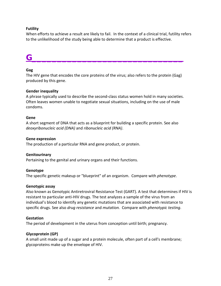#### **Futility**

When efforts to achieve a result are likely to fail. In the context of a clinical trial, futility refers to the unlikelihood of the study being able to determine that a product is effective.

### **G\_\_\_\_\_\_\_\_\_\_\_\_\_\_\_\_\_\_\_\_\_\_\_\_\_\_\_\_\_\_**

#### **Gag**

The HIV gene that encodes the core proteins of the virus; also refers to the protein (Gag) produced by this gene.

#### **Gender inequality**

A phrase typically used to describe the second-class status women hold in many societies. Often leaves women unable to negotiate sexual situations, including on the use of male condoms.

#### **Gene**

A short segment of DNA that acts as a blueprint for building a specific protein. See also *deoxyribonucleic acid (DNA)* and *ribonucleic acid (RNA)*.

#### **Gene expression**

The production of a particular RNA and gene product, or protein.

#### **Genitourinary**

Pertaining to the genital and urinary organs and their functions.

#### **Genotype**

The specific genetic makeup or "blueprint" of an organism. Compare with *[phenotype](http://www.sfaf.org/custom/glossary.aspx?l=en&id=1136)*.

#### **Genotypic assay**

Also known as Genotypic Antiretroviral Resistance Test (GART). A test that determines if HIV is resistant to particular anti-HIV drugs. The test analyzes a sample of the virus from an individual's blood to identify any genetic mutations that are associated with resistance to specific drugs. See also *drug resistance* and *mutation.* Compare with *phenotypic testing*.

#### **Gestation**

The period of development in the uterus from conception until birth; pregnancy.

#### **Glycoprotein (GP)**

A small unit made up of a sugar and a protein molecule, often part of a cell's membrane; glycoproteins make up the envelope of HIV.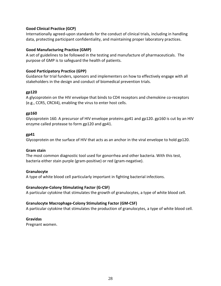#### **Good Clinical Practice (GCP)**

Internationally agreed-upon standards for the conduct of clinical trials, including in handling data, protecting participant confidentiality, and maintaining proper laboratory practices.

#### **Good Manufacturing Practice (GMP)**

A set of guidelines to be followed in the testing and manufacture of pharmaceuticals. The purpose of GMP is to safeguard the health of patients.

#### **Good Participatory Practice (GPP)**

Guidance for trial funders, sponsors and implementers on how to effectively engage with all stakeholders in the design and conduct of biomedical prevention trials.

#### **gp120**

A glycoprotein on the HIV envelope that binds to CD4 receptors and chemokine co-receptors (e.g., CCR5, CRCX4), enabling the virus to enter host cells.

#### **gp160**

Glycoprotein 160. A precursor of HIV envelope proteins gp41 and gp120. gp160 is cut by an HIV enzyme called protease to form gp120 and gp41.

#### **gp41**

Glycoprotein on the surface of HIV that acts as an anchor in the viral envelope to hold gp120.

#### **Gram stain**

The most common diagnostic tool used for gonorrhea and other bacteria. With this test, bacteria either stain purple (gram-positive) or red (gram-negative).

#### **Granulocyte**

A type of white blood cell particularly important in fighting bacterial infections.

#### **Granulocyte-Colony Stimulating Factor (G-CSF)**

A particular cytokine that stimulates the growth of granulocytes, a type of white blood cell.

#### **Granulocyte Macrophage-Colony Stimulating Factor (GM-CSF)**

A particular cytokine that stimulates the production of granulocytes, a type of white blood cell.

#### **Gravidas**

Pregnant women.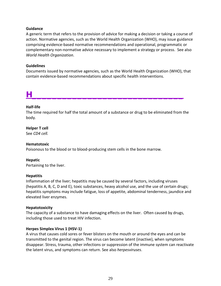#### **Guidance**

A generic term that refers to the provision of advice for making a decision or taking a course of action. Normative agencies, such as the World Health Organization (WHO), may issue guidance comprising evidence-based normative recommendations and operational, programmatic or complementary non-normative advice necessary to implement a strategy or process. See also *World Health Organization*.

#### **Guidelines**

Documents issued by normative agencies, such as the World Health Organization (WHO), that contain evidence-based recommendations about specific health interventions.

### **H\_\_\_\_\_\_\_\_\_\_\_\_\_\_\_\_\_\_\_\_\_\_\_\_\_\_\_\_\_\_**

#### **Half-life**

The time required for half the total amount of a substance or drug to be eliminated from the body.

**Helper T cell** See *CD4 cell.*

#### **Hematotoxic**

Poisonous to the blood or to blood-producing stem cells in the bone marrow.

#### **Hepatic**

Pertaining to the liver.

#### **Hepatitis**

Inflammation of the liver; hepatitis may be caused by several factors, including viruses (hepatitis A, B, C, D and E), toxic substances, heavy alcohol use, and the use of certain drugs; hepatitis symptoms may include fatigue, loss of appetite, abdominal tenderness, jaundice and elevated liver enzymes.

#### **Hepatotoxicity**

The capacity of a substance to have damaging effects on the liver. Often caused by drugs, including those used to treat HIV infection.

#### **Herpes Simplex Virus 1 (HSV-1)**

A virus that causes cold sores or fever blisters on the mouth or around the eyes and can be transmitted to the genital region. The virus can become latent (inactive), when symptoms disappear. Stress, trauma, other infections or suppression of the immune system can reactivate the latent virus, and symptoms can return. See also *herpesviruses*.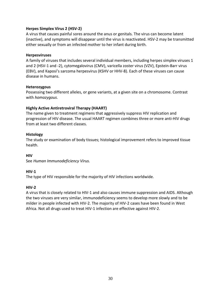#### **Herpes Simplex Virus 2 (HSV-2)**

A virus that causes painful sores around the anus or genitals. The virus can become latent (inactive), and symptoms will disappear until the virus is reactivated. HSV-2 may be transmitted either sexually or from an infected mother to her infant during birth.

#### **Herpesviruses**

A family of viruses that includes several individual members, including herpes simplex viruses 1 and 2 (HSV-1 and -2), cytomegalovirus (CMV), varicella zoster virus (VZV), Epstein-Barr virus (EBV), and Kaposi's sarcoma herpesvirus (KSHV or HHV-8). Each of these viruses can cause disease in humans.

#### **Heterozygous**

Possessing two different alleles, or gene variants, at a given site on a chromosome. Contrast with *[homozygous](http://www.sfaf.org/custom/glossary.aspx?l=en&id=672)*.

#### **Highly Active Antiretroviral Therapy (HAART)**

The name given to treatment regimens that aggressively suppress HIV replication and progression of HIV disease. The usual HAART regimen combines three or more anti-HIV drugs from at least two different classes.

#### **Histology**

The study or examination of body tissues; histological improvement refers to improved tissue health.

#### **HIV**

See *Human Immunodeficiency Virus.*

#### **HIV-1**

The type of HIV responsible for the majority of HIV infections worldwide.

#### **HIV-2**

A virus that is closely related to HIV-1 and also causes immune suppression and AIDS. Although the two viruses are very similar, immunodeficiency seems to develop more slowly and to be milder in people infected with HIV-2. The majority of HIV-2 cases have been found in West Africa. Not all drugs used to treat HIV-1 infection are effective against HIV-2.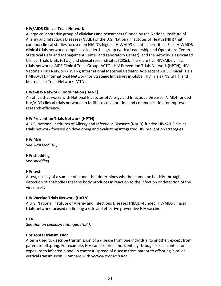#### **HIV/AIDS Clinical Trials Network**

A large collaborative group of clinicians and researchers funded by the National Institute of Allergy and Infectious Diseases (NIAID) of the U.S. National Institutes of Health (NIH) that conduct clinical studies focused on NIAID's highest HIV/AIDS scientific priorities. Each HIV/AIDS clinical trials network comprises a leadership group (with a Leadership and Operations Center, Statistical Data and Management Center and Laboratory Center); and the network's associated Clinical Trials Units (CTUs) and clinical research sites (CRSs). There are five HIV/AIDS clinical trials networks: AIDS Clinical Trials Group (ACTG); HIV Prevention Trials Network (HPTN); HIV Vaccine Trials Network (HVTN); International Maternal Pediatric Adolescent AIDS Clinical Trials (IMPAACT); International Network for Strategic Initiatives in Global HIV Trials (INSIGHT); and Microbicide Trials Network (MTN).

#### **HIV/AIDS Network Coordination (HANC)**

An office that works with National Institutes of Allergy and Infectious Diseases (NIAID)-funded HIV/AIDS clinical trials networks to facilitate collaboration and communication for improved research efficiency.

#### **HIV Prevention Trials Network (HPTN)**

A U.S. National Institutes of Allergy and Infectious Diseases (NIAID)-funded HIV/AIDS clinical trials network focused on developing and evaluating integrated HIV prevention strategies.

**HIV RNA** See *viral load (VL).*

#### **HIV shedding**

See *shedding.*

#### **HIV test**

A test, usually of a sample of blood, that determines whether someone has HIV through detection of antibodies that the body produces in reaction to the infection or detection of the virus itself.

#### **HIV Vaccine Trials Network (HVTN)**

A U.S. National Institute of Allergy and Infectious Diseases (NIAID)-funded HIV/AIDS clinical trials network focused on finding a safe and effective preventive HIV vaccine.

#### **HLA**

See *Human Leukocyte Antigen (HLA)*.

#### **Horizontal transmission**

A term used to describe transmission of a disease from one individual to another, except from parent to offspring. For example, HIV can be spread horizontally through sexual contact or exposure to infected blood. In contrast, spread of disease from parent to offspring is called vertical transmission. Compare with *vertical transmission*.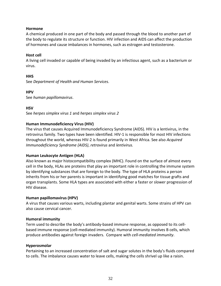#### **Hormone**

A chemical produced in one part of the body and passed through the blood to another part of the body to regulate its structure or function. HIV infection and AIDS can affect the production of hormones and cause imbalances in hormones, such as estrogen and testosterone.

#### **Host cell**

A living cell invaded or capable of being invaded by an infectious agent, such as a bacterium or virus.

#### **HHS**

See *Department of Health and Human Services*.

**HPV** See *human papillomavirus*.

**HSV**

See *herpes simplex virus 1* and *herpes simplex virus 2*

#### **Human Immunodeficiency Virus (HIV)**

The virus that causes Acquired Immunodeficiency Syndrome (AIDS). HIV is a lentivirus, in the retrovirus family. Two types have been identified. HIV-1 is responsible for most HIV infections throughout the world, whereas HIV-2 is found primarily in West Africa. See also *Acquired Immunodeficiency Syndrome (AIDS)*, *retrovirus* and *lentivirus.*

#### **Human Leukocyte Antigen (HLA)**

Also known as major histocompatibility complex (MHC). Found on the surface of almost every cell in the body, HLAs are proteins that play an important role in controlling the immune system by identifying substances that are foreign to the body. The type of HLA proteins a person inherits from his or her parents is important in identifying good matches for tissue grafts and organ transplants. Some HLA types are associated with either a faster or slower progression of HIV disease.

#### **Human papillomavirus (HPV)**

A virus that causes various warts, including plantar and genital warts. Some strains of HPV can also cause cervical cancer.

#### **Humoral immunity**

Term used to describe the body's antibody-based immune response, as opposed to its cellbased immune response (cell-mediated immunity). Humoral immunity involves B cells, which produce antibodies against foreign invaders. Compare with *cell-mediated immunity*.

#### **Hyperosmolar**

Pertaining to an increased concentration of salt and sugar solutes in the body's fluids compared to cells. The imbalance causes water to leave cells, making the cells shrivel up like a raisin.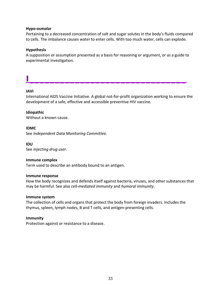#### **Hypo-osmolar**

Pertaining to a decreased concentration of salt and sugar solutes in the body's fluids compared to cells. The imbalance causes water to enter cells. With too much water, cells can explode.

#### **Hypothesis**

A supposition or assumption presented as a basis for reasoning or argument, or as a guide to experimental investigation.

## **I\_\_\_\_\_\_\_\_\_\_\_\_\_\_\_\_\_\_\_\_\_\_\_\_\_\_\_\_\_\_\_**

#### **IAVI**

International AIDS Vaccine Initiative. A global not-for-profit organization working to ensure the development of a safe, effective and accessible preventive HIV vaccine.

#### **Idiopathic**

Without a known cause.

#### **IDMC**

See *Independent Data Monitoring Committee.*

**IDU** See *Injecting drug user*.

#### **Immune complex**

Term used to describe an antibody bound to an antigen.

#### **Immune response**

How the body recognizes and defends itself against bacteria, viruses, and other substances that may be harmful. See also *cell-mediated immunity* and *humoral immunity*.

#### **Immune system**

The collection of cells and organs that protect the body from foreign invaders. Includes the thymus, spleen, lymph nodes, B and T cells, and antigen-presenting cells.

#### **Immunity**

Protection against or resistance to a disease.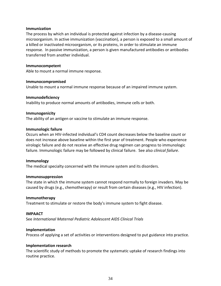#### **Immunization**

The process by which an individual is protected against infection by a disease-causing microorganism. In active immunization (vaccination), a person is exposed to a small amount of a killed or inactivated microorganism, or its proteins, in order to stimulate an immune response. In passive immunization, a person is given manufactured antibodies or antibodies transferred from another individual.

#### **Immunocompetent**

Able to mount a normal immune response.

#### **Immunocompromised**

Unable to mount a normal immune response because of an impaired immune system.

#### **Immunodeficiency**

Inability to produce normal amounts of antibodies, immune cells or both.

#### **Immunogenicity**

The ability of an antigen or vaccine to stimulate an immune response.

#### **Immunologic failure**

Occurs when an HIV-infected individual's CD4 count decreases below the baseline count or does not increase above baseline within the first year of treatment. People who experience virologic failure and do not receive an effective drug regimen can progress to immunologic failure. Immunologic failure may be followed by clinical failure. See also *clinical failure*.

#### **Immunology**

The medical specialty concerned with the immune system and its disorders.

#### **Immunosuppression**

The state in which the immune system cannot respond normally to foreign invaders. May be caused by drugs (e.g., chemotherapy) or result from certain diseases (e.g., HIV infection).

#### **Immunotherapy**

Treatment to stimulate or restore the body's immune system to fight disease.

#### **IMPAACT**

See *International Maternal Pediatric Adolescent AIDS Clinical Trials*

#### **Implementation**

Process of applying a set of activities or interventions designed to put guidance into practice.

#### **Implementation research**

The scientific study of methods to promote the systematic uptake of research findings into routine practice.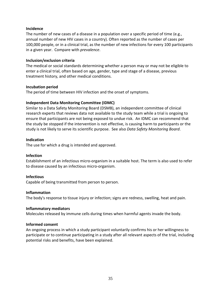#### **Incidence**

The number of new cases of a disease in a population over a specific period of time (e.g., annual number of new HIV cases in a country). Often reported as the number of cases per 100,000 people, or in a clinical trial, as the number of new infections for every 100 participants in a given year. Compare with *prevalence*.

#### **Inclusion/exclusion criteria**

The medical or social standards determining whether a person may or may not be eligible to enter a clinical trial, often based on age, gender, type and stage of a disease, previous treatment history, and other medical conditions.

#### **Incubation period**

The period of time between HIV infection and the onset of symptoms.

#### **Independent Data Monitoring Committee (IDMC)**

Similar to a Data Safety Monitoring Board (DSMB), an independent committee of clinical research experts that reviews data not available to the study team while a trial is ongoing to ensure that participants are not being exposed to undue risk. An IDMC can recommend that the study be stopped if the intervention is not effective, is causing harm to participants or the study is not likely to serve its scientific purpose. See also *Data Safety Monitoring Board*.

#### **Indication**

The use for which a drug is intended and approved.

#### **Infection**

Establishment of an infectious micro-organism in a suitable host. The term is also used to refer to disease caused by an infectious micro-organism.

#### **Infectious**

Capable of being transmitted from person to person.

#### **Inflammation**

The body's response to tissue injury or infection; signs are redness, swelling, heat and pain.

#### **Inflammatory mediators**

Molecules released by immune cells during times when harmful agents invade the body.

#### **Informed consent**

An ongoing process in which a study participant voluntarily confirms his or her willingness to participate or to continue participating in a study after all relevant aspects of the trial, including potential risks and benefits, have been explained.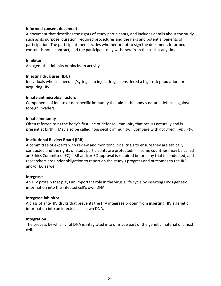#### **Informed consent document**

A document that describes the rights of study participants, and includes details about the study, such as its purpose, duration, required procedures and the risks and potential benefits of participation. The participant then decides whether or not to sign the document. Informed consent is not a contract, and the participant may withdraw from the trial at any time.

#### **Inhibitor**

An agent that inhibits or blocks an activity.

#### **Injecting drug user (IDU)**

Individuals who use needles/syringes to inject drugs; considered a high-risk population for acquiring HIV.

#### **Innate antimicrobial factors**

Components of innate or nonspecific immunity that aid in the body's natural defense against foreign invaders.

#### **Innate immunity**

Often referred to as the body's first line of defense, immunity that occurs naturally and is present at birth. (May also be called nonspecific immunity.) Compare with *acquired immunity*.

#### **Institutional Review Board (IRB)**

A committee of experts who review and monitor clinical trials to ensure they are ethically conducted and the rights of study participants are protected. In some countries, may be called an Ethics Committee (EC). IRB and/or EC approval is required before any trial is conducted, and researchers are under obligation to report on the study's progress and outcomes to the IRB and/or EC as well.

#### **Integrase**

An HIV protein that plays an important role in the virus's life cycle by inserting HIV's genetic information into the infected cell's own DNA.

#### **Integrase inhibitor**

A class of anti-HIV drugs that prevents the HIV integrase protein from inserting HIV's genetic information into an infected cell's own DNA.

#### **Integration**

The process by which viral DNA is integrated into or made part of the genetic material of a host cell.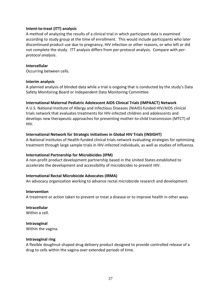## **Intent-to-treat (ITT) analysis**

A method of analyzing the results of a clinical trial in which participant data is examined according to study group at the time of enrollment. This would include participants who later discontinued product use due to pregnancy, HIV infection or other reasons, or who left or did not complete the study. ITT analysis differs from per-protocol analysis. Compare with *perprotocol analysis*.

#### **Intercellular**

Occurring between cells.

#### **Interim analysis**

A planned analysis of blinded data while a trial is ongoing that is conducted by the study's Data Safety Monitoring Board or Independent Data Monitoring Committee.

## **International Maternal Pediatric Adolescent AIDS Clinical Trials (IMPAACT) Network**

A U.S. National Institute of Allergy and Infectious Diseases (NIAID)-funded HIV/AIDS clinical trials network that evaluates treatments for HIV-infected children and adolescents and develops new therapeutic approaches for preventing mother-to-child transmission (MTCT) of HIV.

## **International Network for Strategic Initiatives in Global HIV Trials (INSIGHT)**

A National Institutes of Health-funded clinical trials network evaluating strategies for optimizing treatment through large sample trials in HIV-infected individuals, as well as studies of influenza.

## **International Partnership for Microbicides (IPM)**

A non-profit product development partnership based in the United States established to accelerate the development and accessibility of microbicides to prevent HIV.

## **International Rectal Microbicide Advocates (IRMA)**

An advocacy organization working to advance rectal microbicide research and development.

#### **Intervention**

A treatment or action taken to prevent or treat a disease or to improve health in other ways.

## **Intracellular**

Within a cell.

## **Intravaginal**

Within the vagina.

#### **Intravaginal ring**

A flexible doughnut-shaped [drug delivery](http://encyclopedia.thefreedictionary.com/Drug+delivery) product designed to provide controlled release of a drug to cells within th[e vagina](http://encyclopedia.thefreedictionary.com/Vagina) over extended periods of time.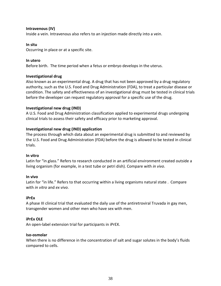## **Intravenous (IV)**

Inside a vein. Intravenous also refers to an injection made directly into a vein.

## **In situ**

Occurring in place or at a specific site.

## **In utero**

Before birth. The time period when a fetus or embryo develops in the uterus.

## **Investigational drug**

Also known as an experimental drug. A drug that has not been approved by a drug regulatory authority, such as the U.S. Food and Drug Administration (FDA), to treat a particular disease or condition. The safety and effectiveness of an investigational drug must be tested in clinical trials before the developer can request regulatory approval for a specific use of the drug.

## **Investigational new drug (IND)**

A U.S. Food and Drug Administration classification applied to experimental drugs undergoing clinical trials to assess their safety and efficacy prior to marketing approval.

## **Investigational new drug (IND) application**

The process through which data about an experimental drug is submitted to and reviewed by the U.S. Food and Drug Administration (FDA) before the drug is allowed to be tested in clinical trials.

## **In vitro**

Latin for "in glass." Refers to research conducted in an artificial environment created outside a living organism (for example, in a test tube or petri dish). Compare with *in vivo*.

## **In vivo**

Latin for "in life." Refers to that occurring within a living organisms natural state . Compare with *in vitro* and *ex vivo*.

## **iPrEx**

A phase III clinical trial that evaluated the daily use of the antiretroviral Truvada in gay men, transgender women and other men who have sex with men.

## **iPrEx OLE**

An open-label extension trial for participants in iPrEX.

## **Iso-osmolar**

When there is no difference in the concentration of salt and sugar solutes in the body's fluids compared to cells.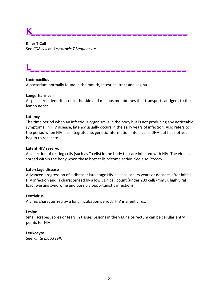# **K\_\_\_\_\_\_\_\_\_\_\_\_\_\_\_\_\_\_\_\_\_\_\_\_\_\_\_\_\_\_\_**

**Killer T Cell** See *CD8 cell* and *cytotoxic T lymphocyte*

## **Lactobacillus**

A bacterium normally found in the mouth, intestinal tract and vagina.

#### **Langerhans cell**

A specialized dendritic cell in the skin and mucous membranes that transports antigens to the lymph nodes.

**L\_\_\_\_\_\_\_\_\_\_\_\_\_\_\_\_\_\_\_\_\_\_\_\_\_\_\_\_\_\_\_**

#### **Latency**

The time period when an infectious organism is in the body but is not producing any noticeable symptoms. In HIV disease, latency usually occurs in the early years of infection. Also refers to the period when HIV has integrated its genetic information into a cell's DNA but has not yet begun to replicate.

#### **Latent HIV reservoir**

A collection of resting cells (such as T cells) in the body that are infected with HIV. The virus is spread within the body when these host cells become active. See also *latency*.

## **Late-stage disease**

Advanced progression of a disease; late-stage HIV disease occurs years or decades after initial HIV infection and is characterized by a low CD4 cell count (under 200 cells/mm3), high viral load, wasting syndrome and possibly opportunistic infections.

#### **Lentivirus**

A virus characterized by a long incubation period. HIV is a lentivirus.

#### **Lesion**

Small scrapes, sores or tears in tissue. Lesions in the vagina or rectum can be cellular entry points for HIV.

## **Leukocyte**

See *white blood cell*.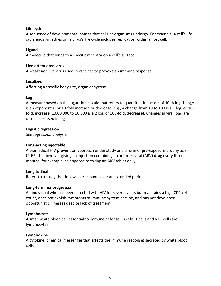## **Life cycle**

A sequence of developmental phases that cells or organisms undergo. For example, a cell's life cycle ends with division; a virus's life cycle includes replication within a host cell.

## **Ligand**

A molecule that binds to a specific receptor on a cell's surface.

## **Live-attenuated virus**

A weakened live virus used in vaccines to provoke an immune response.

## **Localized**

Affecting a specific body site, organ or system.

## **Log**

A measure based on the logarithmic scale that refers to quantities in factors of 10. A log change is an exponential or 10-fold increase or decrease (e.g., a change from 10 to 100 is a 1 log, or 10 fold, increase; 1,000,000 to 10,000 is a 2 log, or 100-fold, decrease). Changes in viral load are often expressed in logs.

## **Logistic regression**

See *[regression analysis](http://www.sfaf.org/custom/glossary.aspx?l=en&id=1276)*.

## **Long-acting injectable**

A biomedical HIV prevention approach under study and a form of pre-exposure prophylaxis (PrEP) that involves giving an injection containing an antiretroviral (ARV) drug every three months, for example, as opposed to taking an ARV tablet daily.

## **Longitudinal**

Refers to a study that follows participants over an extended period.

## **Long-term nonprogressor**

An individual who has been infected with HIV for several years but maintains a high CD4 cell count, does not exhibit symptoms of immune system decline, and has not developed opportunistic illnesses despite lack of treatment.

## **Lymphocyte**

A small white blood cell essential to immune defense. B cells, T cells and NKT cells are lymphocytes.

## **Lymphokine**

A cytokine (chemical messenger that affects the immune response) secreted by white blood cells.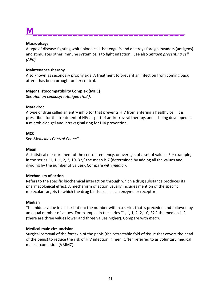# **M\_\_\_\_\_\_\_\_\_\_\_\_\_\_\_\_\_\_\_\_\_\_\_\_\_\_\_\_\_\_**

## **Macrophage**

A type of disease-fighting white blood cell that engulfs and destroys foreign invaders (antigens) and stimulates other immune system cells to fight infection. See also *antigen presenting cell (APC)*.

## **Maintenance therapy**

Also known as secondary prophylaxis. A treatment to prevent an infection from coming back after it has been brought under control.

## **Major Histocompatibility Complex (MHC)**

See *Human Leukocyte Antigen (HLA)*.

## **Maraviroc**

A type of drug called an entry inhibitor that prevents HIV from entering a healthy cell. It is prescribed for the treatment of HIV as part of antiretroviral therapy, and is being developed as a microbicide gel and intravaginal ring for HIV prevention.

## **MCC**

See *Medicines Control Council*.

## **Mean**

A statistical measurement of the central tendency, or average, of a set of values. For example, in the series "1, 1, 1, 2, 2, 10, 32," the mean is 7 (determined by adding all the values and dividing by the number of values). Compare with *[median](http://www.sfaf.org/custom/glossary.aspx?l=en&id=898)*.

## **Mechanism of action**

Refers to the specific biochemical interaction through which a [drug](http://en.wikipedia.org/wiki/Medication) substance produces its pharmacological effect. A mechanism of action usually includes mention of the specific molecular targets to which the drug binds, such as an enzyme or [receptor.](http://en.wikipedia.org/wiki/Receptor_(biochemistry))

## **Median**

The middle value in a distribution; the number within a series that is preceded and followed by an equal number of values. For example, in the series "1, 1, 1, 2, 2, 10, 32," the median is 2 (there are three values lower and three values higher). Compare with *[mean](http://www.sfaf.org/custom/glossary.aspx?l=en&id=897)*.

## **Medical male circumcision**

Surgical removal of the foreskin of the penis (the retractable fold of tissue that covers the head of the penis) to reduce the risk of HIV infection in men. Often referred to as voluntary medical male circumcision (VMMC).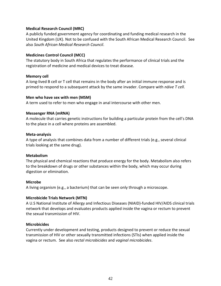## **Medical Research Council (MRC)**

A publicly funded government agency for coordinating and funding medical research in the United Kingdom (UK). Not to be confused with the South African Medical Research Council. See also *South African Medical Research Council*.

## **Medicines Control Council (MCC)**

The statutory body in South Africa that regulates the performance of clinical trials and the registration of medicine and medical devices to treat disease.

## **Memory cell**

A long-lived B cell or T cell that remains in the body after an initial immune response and is primed to respond to a subsequent attack by the same invader. Compare with *[näive T cell](http://www.sfaf.org/custom/glossary.aspx?l=en&id=973)*.

#### **Men who have sex with men (MSM)**

A term used to refer to men who engage in anal intercourse with other men.

#### **Messenger RNA (mRNA)**

A molecule that carries genetic instructions for building a particular protein from the cell's DNA to the place in a cell where proteins are assembled.

#### **Meta-analysis**

A type of analysis that combines data from a number of different trials (e.g., several clinical trials looking at the same drug).

#### **Metabolism**

The physical and chemical reactions that produce energy for the body. Metabolism also refers to the breakdown of drugs or other substances within the body, which may occur during digestion or elimination.

## **Microbe**

A living organism (e.g., a bacterium) that can be seen only through a microscope.

## **Microbicide Trials Network (MTN)**

A U.S National Institute of Allergy and Infectious Diseases (NIAID)-funded HIV/AIDS clinical trials network that develops and evaluates products applied inside the vagina or rectum to prevent the sexual transmission of HIV.

#### **Microbicides**

Currently under development and testing, products designed to prevent or reduce the sexual transmission of HIV or other sexually transmitted infections (STIs) when applied inside the vagina or rectum. See also *rectal microbicides* and *vaginal microbicides*.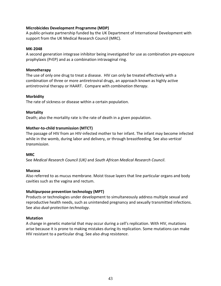## **Microbicides Development Programme (MDP)**

A public-private partnership funded by the UK Department of International Development with support from the UK Medical Research Council (MRC).

## **MK-2048**

A second generation integrase inhibitor being investigated for use as combination pre-exposure prophylaxis (PrEP) and as a combination intravaginal ring.

## **Monotherapy**

The use of only one drug to treat a disease. HIV can only be treated effectively with a combination of three or more antiretroviral drugs, an approach known as highly active antiretroviral therapy or HAART. Compare with *combination therapy*.

## **Morbidity**

The rate of sickness or disease within a certain population.

## **Mortality**

Death; also the mortality rate is the rate of death in a given population.

## **Mother-to-child transmission (MTCT)**

The passage of HIV from an HIV-infected mother to her infant. The infant may become infected while in the womb, during labor and delivery, or through breastfeeding. See also *vertical transmission*.

## **MRC**

See *Medical Research Council (UK)* and *South African Medical Research Council*.

## **Mucosa**

Also referred to as mucus membrane. Moist tissue layers that line particular organs and body cavities such as the vagina and rectum.

## **Multipurpose prevention technology (MPT)**

Products or technologies under development to simultaneously address multiple sexual and reproductive health needs, such as unintended pregnancy and sexually transmitted infections. See also *dual-protection technology*.

## **Mutation**

A change in genetic material that may occur during a cell's replication. With HIV, mutations arise because it is prone to making mistakes during its replication. Some mutations can make HIV resistant to a particular drug. See also *drug resistance*.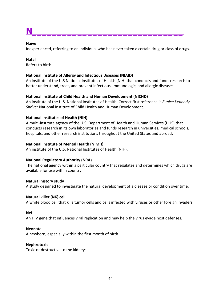# **N\_\_\_\_\_\_\_\_\_\_\_\_\_\_\_\_\_\_\_\_\_\_\_\_\_\_\_\_\_\_**

## **Naïve**

Inexperienced, referring to an individual who has never taken a certain drug or class of drugs.

## **Natal**

Refers to birth.

## **National Institute of Allergy and Infectious Diseases (NIAID)**

An institute of the U.S National Institutes of Health (NIH) that conducts and funds research to better understand, treat, and prevent infectious, immunologic, and allergic diseases.

## **National Institute of Child Health and Human Development (NICHD)**

An institute of the U.S. National Institutes of Health. Correct first reference is *Eunice Kennedy Shriver* National Institute of Child Health and Human Development.

## **National Institutes of Health (NIH)**

A multi-institute agency of the U.S. Department of Health and Human Services (HHS) that conducts research in its own laboratories and funds research in universities, medical schools, hospitals, and other research institutions throughout the United States and abroad.

## **National Institute of Mental Health (NIMH)**

An institute of the U.S. National Institutes of Health (NIH).

## **National Regulatory Authority (NRA)**

The national agency within a particular country that regulates and determines which drugs are available for use within country.

## **Natural history study**

A study designed to investigate the natural development of a disease or condition over time.

## **Natural killer (NK) cell**

A white blood cell that kills tumor cells and cells infected with viruses or other foreign invaders.

## **Nef**

An HIV gene that influences viral replication and may help the virus evade host defenses.

## **Neonate**

A newborn, especially within the first month of birth.

## **Nephrotoxic**

Toxic or destructive to the kidneys.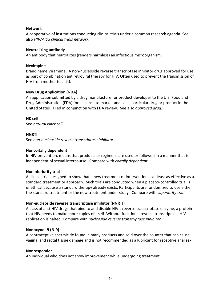## **Network**

A cooperative of institutions conducting clinical trials under a common research agenda. See also *HIV/AIDS clinical trials network.*

#### **Neutralizing antibody**

An antibody that neutralizes (renders harmless) an infectious microorganism.

#### **Nevirapine**

Brand name Viramune. A non-nucleoside reverse transcriptase inhibitor drug approved for use as part of combination antiretroviral therapy for HIV. Often used to prevent the transmission of HIV from mother to child.

#### **New Drug Application (NDA)**

An application submitted by a drug manufacturer or product developer to the U.S. Food and Drug Administration (FDA) for a license to market and sell a particular drug or product in the United States. Filed in conjunction with FDA review. See also *approved drug*.

**NK cell**

See *[natural killer cell](http://www.sfaf.org/custom/glossary.aspx?l=en&id=980)*.

#### **NNRTI**

See *[non-nucleoside reverse transcriptase inhibitor](http://www.sfaf.org/custom/glossary.aspx?l=en&id=1021)*.

#### **Noncoitally dependent**

In HIV prevention, means that products or regimens are used or followed in a manner that is independent of sexual intercourse. Compare with *coitally dependent*.

#### **Noninferiority trial**

A clinical trial designed to show that a new treatment or intervention is at least as effective as a standard treatment or approach. Such trials are conducted when a placebo-controlled trial is unethical because a standard therapy already exists. Participants are randomized to use either the standard treatment or the new treatment under study. Compare with *superiority trial*.

## **Non-nucleoside reverse transcriptase inhibitor (NNRTI)**

A class of anti-HIV drugs that bind to and disable HIV's reverse transcriptase enzyme, a protein that HIV needs to make more copies of itself. Without functional reverse transcriptase, HIV replication is halted. Compare with *nucleoside reverse transcriptase inhibitor*.

#### **Nonoxynol-9 (N-9)**

A contraceptive spermicide found in many products and sold over the counter that can cause vaginal and rectal tissue damage and is not recommended as a lubricant for receptive anal sex.

#### **Nonresponder**

An individual who does not show improvement while undergoing treatment.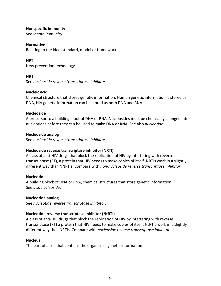## **Nonspecific immunity**

See *innate immunity*.

#### **Normative**

Relating to the ideal standard, model or framework.

## **NPT**

New prevention technology.

## **NRTI**

See *nucleoside reverse transcriptase inhibitor*.

## **Nucleic acid**

Chemical structure that stores genetic information. Human genetic information is stored as DNA, HIV genetic information can be stored as both DNA and RNA.

## **Nucleoside**

A precursor to a building block of DNA or RNA. Nucleosides must be chemically changed into nucleotides before they can be used to make DNA or RNA. See also *nucleotide*.

## **Nucleoside analog**

See *nucleoside reverse transcriptase inhibitor*.

## **Nucleoside reverse transcriptase inhibitor (NRTI)**

A class of anti-HIV drugs that block the replication of HIV by interfering with reverse transcriptase (RT), a protein that HIV needs to make copies of itself. NRTIs work in a slightly different way than NNRTIs. Compare with *non-nucleoside reverse transcriptase inhibitor*.

## **Nucleotide**

A building block of DNA or RNA, chemical structures that store genetic information. See also *nucleoside*.

## **Nucleotide analog**

See *[nucleotide reverse transcriptase inhibitor](http://www.sfaf.org/custom/glossary.aspx?l=en&id=1037)*.

## **Nucleotide reverse transcriptase inhibitor (NtRTI)**

A class of anti-HIV drugs that block the replication of HIV by interfering with reverse transcriptase (RT) a protein that HIV needs to make copies of itself. NtRTIs work in a slightly different way than NRTIs. Compare with *nucleoside reverse transcriptase inhibitor*.

#### **Nucleus**

The part of a cell that contains the organism's genetic information.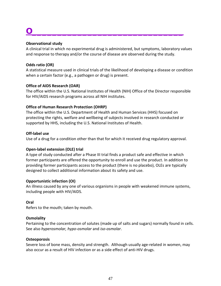# **O\_\_\_\_\_\_\_\_\_\_\_\_\_\_\_\_\_\_\_\_\_\_\_\_\_\_\_\_\_\_**

## **Observational study**

A clinical trial in which no experimental drug is administered, but symptoms, laboratory values and response to therapy and/or the course of disease are observed during the study.

## **Odds ratio (OR)**

A statistical measure used in clinical trials of the likelihood of developing a disease or condition when a certain factor (e.g., a pathogen or drug) is present.

## **Office of AIDS Research (OAR)**

The office within the U.S. National Institutes of Health (NIH) Office of the Director responsible for HIV/AIDS research programs across all NIH institutes.

## **Office of Human Research Protection (OHRP)**

The office within the U.S. Department of Health and Human Services (HHS) focused on protecting the rights, welfare and wellbeing of subjects involved in research conducted or supported by HHS, including the U.S. National Institutes of Health.

## **Off-label use**

Use of a drug for a condition other than that for which it received drug regulatory approval.

## **Open-label extension (OLE) trial**

A type of study conducted after a Phase III trial finds a product safe and effective in which former participants are offered the opportunity to enroll and use the product. In addition to providing former participants access to the product (there is no placebo), OLEs are typically designed to collect additional information about its safety and use.

## **Opportunistic infection (OI)**

An illness caused by any one of various organisms in people with weakened immune systems, including people with HIV/AIDS.

## **Oral**

Refers to the mouth; taken by mouth.

## **Osmolality**

Pertaining to the concentration of solutes (made up of salts and sugars) normally found in cells. See also *hyperosmolar, hypo-osmolar* and *iso-osmolar*.

## **Osteoporosis**

Severe loss of bone mass, density and strength. Although usually age-related in women, may also occur as a result of HIV infection or as a side effect of anti-HIV drugs.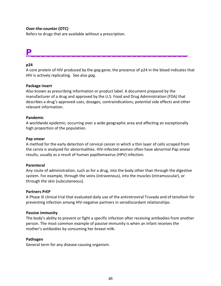## **Over-the-counter (OTC)**

Refers to drugs that are available without a prescription.

## **P\_\_\_\_\_\_\_\_\_\_\_\_\_\_\_\_\_\_\_\_\_\_\_\_\_\_\_\_\_\_\_**

## **p24**

A core protein of HIV produced by the *gag* gene; the presence of p24 in the blood indicates that HIV is actively replicating. See also *gag*.

#### **Package insert**

Also known as prescribing information or product label. A document prepared by the manufacturer of a drug and approved by the U.S. Food and Drug Administration (FDA) that describes a drug's approved uses, dosages, contraindications, potential side effects and other relevant information.

#### **Pandemic**

A worldwide epidemic; occurring over a wide geographic area and affecting an exceptionally high proportion of the population.

#### **Pap smear**

A method for the early detection of cervical cancer in which a thin layer of cells scraped from the cervix is analyzed for abnormalities. HIV-infected women often have abnormal Pap smear results, usually as a result of human papillomavirus (HPV) infection.

#### **Parenteral**

Any route of administration, such as for a drug, into the body other than through the digestive system. For example, through the veins (intravenous), into the muscles (intramuscular), or through the skin (subcutaneous).

#### **Partners PrEP**

A Phase III clinical trial that evaluated daily use of the antiretroviral Truvada and of tenofovir for preventing infection among HIV-negative partners in serodiscordant relationships.

#### **Passive immunity**

The body's ability to prevent or fight a specific infection after receiving antibodies from another person. The most common example of passive immunity is when an infant receives the mother's antibodies by consuming her breast milk.

#### **Pathogen**

General term for any disease-causing organism.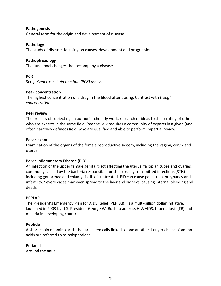## **Pathogenesis**

General term for the origin and development of disease.

## **Pathology**

The study of disease, focusing on causes, development and progression.

## **Pathophysiology**

The functional changes that accompany a disease.

## **PCR**

See *[polymerase chain reaction \(PCR\) assay](http://www.sfaf.org/custom/glossary.aspx?l=en&id=1163)*.

## **Peak concentration**

The highest concentration of a drug in the blood after dosing. Contrast with *[trough](http://www.sfaf.org/custom/glossary.aspx?l=en&id=1484)  [concentration](http://www.sfaf.org/custom/glossary.aspx?l=en&id=1484)*.

## **Peer review**

The process of subjecting an author's [scholarly](http://encyclopedia.thefreedictionary.com/Scholarly+method) work, research or [ideas](http://encyclopedia.thefreedictionary.com/Idea) to the scrutiny of others who are [experts](http://encyclopedia.thefreedictionary.com/Expert) in the same field. Peer review requires a community of experts in a given (and often narrowly defined) field, who are qualified and able to perform impartial review.

## **Pelvic exam**

Examination of the organs of the female reproductive system, including the vagina, cervix and uterus.

## **Pelvic Inflammatory Disease (PID)**

An infection of the upper female genital tract affecting the uterus, fallopian tubes and ovaries, commonly caused by the bacteria responsible for the sexually transmitted infections (STIs) including gonorrhea and chlamydia. If left untreated, PID can cause pain, tubal pregnancy and infertility. Severe cases may even spread to the liver and kidneys, causing internal bleeding and death.

## **PEPFAR**

The President's Emergency Plan for AIDS Relief (PEPFAR), is a multi-billion dollar initiative, launched in 2003 by U.S. President George W. Bush to address HIV/AIDS, tuberculosis (TB) and malaria in developing countries.

## **Peptide**

A short chain of amino acids that are chemically linked to one another. Longer chains of amino acids are referred to as polypeptides.

## **Perianal**

Around the anus.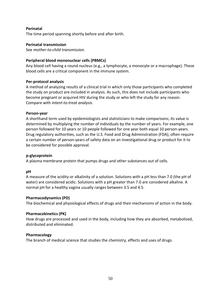## **Perinatal**

The time period spanning shortly before and after birth.

## **Perinatal transmission**

See *mother-to-child transmission*.

## **Peripheral blood mononuclear cells (PBMCs)**

Any [blood](http://en.wikipedia.org/wiki/Blood) [cell](http://en.wikipedia.org/wiki/Cell_(biology)) having a round nucleus (e.g., a [lymphocyte,](http://en.wikipedia.org/wiki/Lymphocyte) a [monocyte](http://en.wikipedia.org/wiki/Monocyte) or a [macrophage\)](http://en.wikipedia.org/wiki/Macrophage). These blood cells are a critical component in the [immune system.](http://en.wikipedia.org/wiki/Immune_system)

#### **Per-protocol analysis**

A method of analyzing results of a clinical trial in which only those participants who completed the study on product are included in analysis. As such, this does not include participants who become pregnant or acquired HIV during the study or who left the study for any reason. Compare with *intent-to-treat analysis*.

#### **Person-year**

A shorthand term used by epidemiologists and statisticians to make comparisons; its value is determined by multiplying the number of individuals by the number of years. For example, one person followed for 10 years or 10 people followed for one year both equal 10 person-years. Drug regulatory authorities, such as the U.S. Food and Drug Administration (FDA), often require a certain number of person-years of safety data on an investigational drug or product for it to be considered for possible approval.

## **p-glycoprotein**

A plasma membrane protein that pumps drugs and other substances out of cells.

## **pH**

A measure of the acidity or alkalinity of a solution. Solutions with a pH less than 7.0 (the pH of water) are considered acidic. Solutions with a pH greater than 7.0 are considered alkaline. A normal pH for a healthy vagina usually ranges between 3.5 and 4.5.

## **Pharmacodynamics (PD)**

The biochemical and physiological effects of drugs and their mechanisms of action in the body.

## **Pharmacokinetics (PK)**

How drugs are processed and used in the body, including how they are absorbed, metabolized, distributed and eliminated.

## **Pharmacology**

The branch of medical science that studies the chemistry, effects and uses of drugs.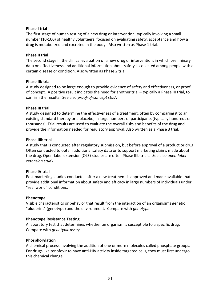## **Phase I trial**

The first stage of human testing of a new drug or intervention, typically involving a small number (10-100) of healthy volunteers, focused on evaluating safety, acceptance and how a drug is metabolized and excreted in the body. Also written as Phase 1 trial.

#### **Phase II trial**

The second stage in the clinical evaluation of a new drug or intervention, in which preliminary data on effectiveness and additional information about safety is collected among people with a certain disease or condition. Also written as Phase 2 trial.

#### **Phase IIb trial**

A study designed to be large enough to provide evidence of safety and effectiveness, or proof of concept. A positive result indicates the need for another trial – typically a Phase III trial, to confirm the results. See also *proof-of-concept study*.

#### **Phase III trial**

A study designed to determine the effectiveness of a treatment, often by comparing it to an existing standard therapy or a placebo, in large numbers of participants (typically hundreds or thousands). Trial results are used to evaluate the overall risks and benefits of the drug and provide the information needed for regulatory approval. Also written as a Phase 3 trial.

#### **Phase IIIb trial**

A study that is conducted after regulatory submission, but before approval of a product or drug. Often conducted to obtain additional safety data or to support marketing claims made about the drug. Open-label extension (OLE) studies are often Phase IIIb trials. See also *open-label extension study*.

#### **Phase IV trial**

Post marketing studies conducted after a new treatment is approved and made available that provide additional information about safety and efficacy in large numbers of individuals under "real world" conditions.

#### **Phenotype**

Visible characteristics or behavior that result from the interaction of an organism's genetic "blueprint" (genotype) and the environment. Compare with *[genotype](http://www.sfaf.org/custom/glossary.aspx?l=en&id=573)*.

## **Phenotype Resistance Testing**

A laboratory test that determines whether an organism is susceptible to a specific drug. Compare with *genotypic assay.*

## **Phosphorylation**

A chemical process involving the addition of one or more molecules called phosphate groups. For drugs like tenofovir to have anti-HIV activity inside targeted cells, they must first undergo this chemical change.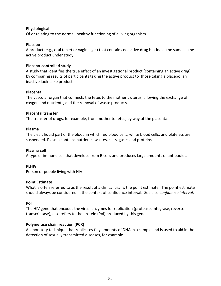## **Physiological**

Of or relating to the normal, healthy functioning of a living organism.

## **Placebo**

A product (e.g., oral tablet or vaginal gel) that contains no active drug but looks the same as the active product under study.

## **Placebo-controlled study**

A study that identifies the true effect of an investigational product (containing an active drug) by comparing results of participants taking the active product to those taking a placebo, an inactive look-alike product.

## **Placenta**

The vascular organ that connects the fetus to the mother's uterus, allowing the exchange of oxygen and nutrients, and the removal of waste products.

## **Placental transfer**

The transfer of drugs, for example, from mother to fetus, by way of the placenta.

## **Plasma**

The clear, liquid part of the blood in which red blood cells, white blood cells, and platelets are suspended. Plasma contains nutrients, wastes, salts, gases and proteins.

## **Plasma cell**

A type of immune cell that develops from B cells and produces large amounts of antibodies.

## **PLHIV**

Person or people living with HIV.

## **Point Estimate**

What is often referred to as the result of a clinical trial is the point estimate. The point estimate should always be considered in the context of confidence interval. See also *confidence interval*.

## **Pol**

The HIV gene that encodes the virus' enzymes for replication (protease, integrase, reverse transcriptase); also refers to the protein (Pol) produced by this gene.

## **Polymerase chain reaction (PCR)**

A laboratory technique that replicates tiny amounts of DNA in a sample and is used to aid in the detection of sexually transmitted diseases, for example.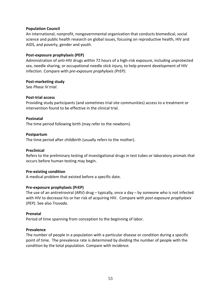## **Population Council**

An international, nonprofit, nongovernmental organization that conducts biomedical, social science and public health research on global issues, focusing on reproductive health, HIV and AIDS, and poverty, gender and youth.

## **Post-exposure prophylaxis (PEP)**

Administration of anti-HIV drugs within 72 hours of a high-risk exposure, including unprotected sex, needle sharing, or occupational needle stick injury, to help prevent development of HIV infection. Compare with *pre-exposure prophylaxis (PrEP)*.

#### **Post-marketing study**

See *[Phase IV trial](http://www.sfaf.org/custom/glossary.aspx?l=en&id=1135)*.

## **Post-trial access**

Providing study participants (and sometimes trial site communities) access to a treatment or intervention found to be effective in the clinical trial.

## **Postnatal**

The time period following birth (may refer to the newborn).

#### **Postpartum**

The time period after childbirth (usually refers to the mother).

#### **Preclinical**

Refers to the preliminary testing of investigational drugs in test tubes or laboratory animals that occurs before human testing may begin.

## **Pre-existing condition**

A medical problem that existed before a specific date.

## **Pre-exposure prophylaxis (PrEP)**

The use of an antiretroviral (ARV) drug – typically, once a day – by someone who is not infected with HIV to decrease his or her risk of acquiring HIV. Compare with *post-exposure prophylaxix (PEP)*. See also *Truvada*.

## **Prenatal**

Period of time spanning from conception to the beginning of labor.

#### **Prevalence**

The number of people in a population with a particular disease or condition during a specific point of time. The prevalence rate is determined by dividing the number of people with the condition by the total population. Compare with *incidence.*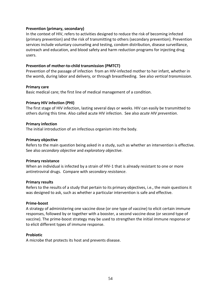## **Prevention (primary, secondary)**

In the context of HIV, refers to activities designed to reduce the risk of becoming infected (primary prevention) and the risk of transmitting to others (secondary prevention). Prevention services include voluntary counseling and testing, condom distribution, disease surveillance, outreach and education, and blood safety and harm reduction programs for injecting drug users.

## **Prevention of mother-to-child transmission (PMTCT)**

Prevention of the passage of infection from an HIV-infected mother to her infant, whether in the womb, during labor and delivery, or through breastfeeding. See also *vertical transmission*.

#### **Primary care**

Basic medical care; the first line of medical management of a condition.

#### **Primary HIV infection (PHI)**

The first stage of HIV infection, lasting several days or weeks. HIV can easily be transmitted to others during this time. Also called acute HIV infection. See also *acute HIV prevention*.

#### **Primary infection**

The initial introduction of an infectious organism into the body.

#### **Primary objective**

Refers to the main question being asked in a study, such as whether an intervention is effective. See also *secondary objective* and *exploratory objective*.

#### **Primary resistance**

When an individual is infected by a strain of HIV-1 that is already resistant to one or more antiretroviral drugs. Compare with *secondary resistance*.

#### **Primary results**

Refers to the results of a study that pertain to its primary objectives, i.e., the main questions it was designed to ask, such as whether a particular intervention is safe and effective.

#### **Prime-boost**

A strategy of administering one vaccine dose (or one type of vaccine) to elicit certain immune responses, followed by or together with a booster, a second vaccine dose (or second type of vaccine). The prime-boost strategy may be used to strengthen the initial immune response or to elicit different types of immune response.

#### **Probiotic**

A microbe that protects its host and prevents disease.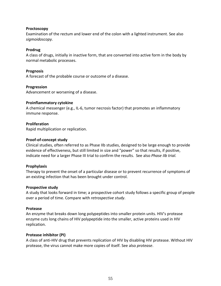## **Proctoscopy**

Examination of the rectum and lower end of the colon with a lighted instrument. See also *sigmoidoscopy.*

## **Prodrug**

A class of drugs, initially in inactive form, that are converted into active form in the body by normal metabolic processes.

## **Prognosis**

A forecast of the probable course or outcome of a disease.

## **Progression**

Advancement or worsening of a disease.

## **Proinflammatory cytokine**

A chemical messenger (e.g., IL-6, tumor necrosis factor) that promotes an inflammatory immune response.

## **Proliferation**

Rapid multiplication or replication.

## **Proof-of-concept study**

Clinical studies, often referred to as Phase IIb studies, designed to be large enough to provide evidence of effectiveness, but still limited in size and "power" so that results, if positive, indicate need for a larger Phase III trial to confirm the results. See also *Phase IIb trial.*

## **Prophylaxis**

Therapy to prevent the onset of a particular disease or to prevent recurrence of symptoms of an existing infection that has been brought under control.

## **Prospective study**

A study that looks forward in time; a prospective cohort study follows a specific group of people over a period of time. Compare with *[retrospective study](http://www.sfaf.org/custom/glossary.aspx?l=en&id=1292)*.

## **Protease**

An enzyme that breaks down long polypeptides into smaller protein units. HIV's protease enzyme cuts long chains of HIV polypeptide into the smaller, active proteins used in HIV replication.

## **Protease inhibitor (PI)**

A class of anti-HIV drug that prevents replication of HIV by disabling HIV protease. Without HIV protease, the virus cannot make more copies of itself. See also *protease*.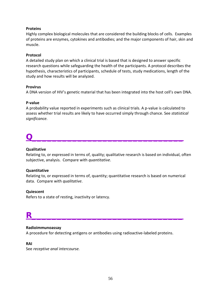## **Proteins**

Highly complex biological molecules that are considered the building blocks of cells. Examples of proteins are enzymes, cytokines and antibodies; and the major components of hair, skin and muscle.

## **Protocol**

A detailed study plan on which a clinical trial is based that is designed to answer specific research questions while safeguarding the health of the participants. A protocol describes the hypothesis, characteristics of participants, schedule of tests, study medications, length of the study and how results will be analyzed.

#### **Provirus**

A DNA version of HIV's genetic material that has been integrated into the host cell's own DNA.

#### **P-value**

A probability value reported in experiments such as clinical trials. A p-value is calculated to assess whether trial results are likely to have occurred simply through chance. See *[statistical](http://www.sfaf.org/custom/glossary.aspx?l=en&id=1385)  [significance.](http://www.sfaf.org/custom/glossary.aspx?l=en&id=1385)*

# **Q\_\_\_\_\_\_\_\_\_\_\_\_\_\_\_\_\_\_\_\_\_\_\_\_\_\_\_\_\_\_**

#### **Qualitative**

Relating to, or expressed in terms of, quality; qualitative research is based on individual, often subjective, analysis. Compare with *quantitative*.

## **Quantitative**

Relating to, or expressed in terms of, quantity; quantitative research is based on numerical data. Compare with *qualitative*.

## **Quiescent**

Refers to a state of resting, inactivity or latency.

## **R\_\_\_\_\_\_\_\_\_\_\_\_\_\_\_\_\_\_\_\_\_\_\_\_\_\_\_\_\_\_**

## **Radioimmunoassay**

A procedure for detecting antigens or antibodies using radioactive-labeled proteins.

#### **RAI**

See *receptive anal intercourse.*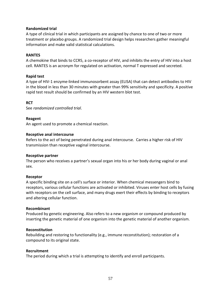## **Randomized trial**

A type of clinical trial in which participants are assigned by chance to one of two or more treatment or placebo groups. A randomized trial design helps researchers gather meaningful information and make valid statistical calculations.

#### **RANTES**

A [chemokine](http://www.medterms.com/script/main/art.asp?articlekey=11937) that binds to [CCR5,](http://www.medterms.com/script/main/art.asp?articlekey=33457) a co-receptor of [HIV,](http://www.medterms.com/script/main/art.asp?articlekey=3769) and inhibits the entry of HIV into a host cell. RANTES is an acronym for regulated on activation, normal T expressed and secreted.

## **Rapid test**

A type of HIV-1 enzyme-linked immunosorbent assay (ELISA) that can detect antibodies to HIV in the blood in less than 30 minutes with greater than 99% sensitivity and specificity. A positive rapid test result should be confirmed by an HIV western blot test.

## **RCT**

See *[randomized controlled trial](http://www.medterms.com/script/main/art.asp?articlekey=39532)*.

#### **Reagent**

An agent used to promote a chemical reaction.

#### **Receptive anal intercourse**

Refers to the act of being penetrated during anal intercourse. Carries a higher risk of HIV transmission than receptive vaginal intercourse.

#### **Receptive partner**

The person who receives a partner's sexual organ into his or her body during vaginal or anal sex.

## **Receptor**

A specific binding site on a cell's surface or interior. When chemical messengers bind to receptors, various cellular functions are activated or inhibited. Viruses enter host cells by fusing with receptors on the cell surface, and many drugs exert their effects by binding to receptors and altering cellular function.

#### **Recombinant**

Produced by genetic engineering. Also refers to a new organism or compound produced by inserting the genetic material of one organism into the genetic material of another organism.

## **Reconstitution**

Rebuilding and restoring to functionality (e.g., immune reconstitution); restoration of a compound to its original state.

#### **Recruitment**

The period during which a trial is attempting to identify and enroll participants.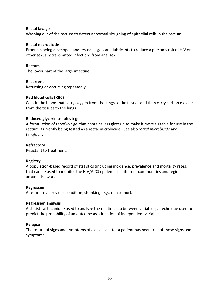## **Rectal lavage**

Washing out of the rectum to detect abnormal sloughing of epithelial cells in the rectum.

#### **Rectal microbicide**

Products being developed and tested as gels and lubricants to reduce a person's risk of HIV or other sexually transmitted infections from anal sex.

#### **Rectum**

The lower part of the large intestine.

#### **Recurrent**

Returning or occurring repeatedly.

## **Red blood cells (RBC)**

Cells in the blood that carry oxygen from the lungs to the tissues and then carry carbon dioxide from the tissues to the lungs.

#### **Reduced glycerin tenofovir gel**

A formulation of tenofvoir gel that contains less glycerin to make it more suitable for use in the rectum. Currently being tested as a rectal microbicide. See also *rectal microbicide* and *tenofovir*.

## **Refractory**

Resistant to treatment.

#### **Registry**

A population-based record of statistics (including incidence, prevalence and mortality rates) that can be used to monitor the HIV/AIDS epidemic in different communities and regions around the world.

#### **Regression**

A return to a previous condition; shrinking (e.g., of a tumor).

#### **Regression analysis**

A statistical technique used to analyze the relationship between variables; a technique used to predict the probability of an outcome as a function of independent variables.

#### **Relapse**

The return of signs and symptoms of a disease after a patient has been free of those signs and symptoms.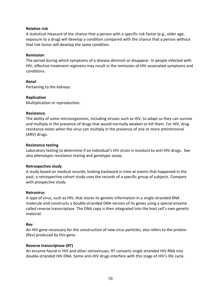## **Relative risk**

A statistical measure of the chance that a person with a specific risk factor (e.g., older age, exposure to a drug) will develop a condition compared with the chance that a person without that risk factor will develop the same condition.

#### **Remission**

The period during which symptoms of a disease diminish or disappear. In people infected with HIV, effective treatment regimens may result in the remission of HIV-associated symptoms and conditions.

#### **Renal**

Pertaining to the kidneys.

## **Replication**

Multiplication or reproduction.

#### **Resistance**

The ability of some microorganisms, including viruses such as HIV, to adapt so they can survive and multiply in the presence of drugs that would normally weaken or kill them. For HIV, drug resistance exists when the virus can multiply in the presence of one or more antiretroviral (ARV) drugs.

## **Resistance testing**

Laboratory testing to determine if an individual's HIV strain is resistant to anti-HIV drugs. See also *phenotypic resistance testing* and *genotypic assay*.

## **Retrospective study**

A study based on medical records, looking backward in time at events that happened in the past; a retrospective cohort study uses the records of a specific group of subjects. Compare with *[prospective study](http://www.sfaf.org/custom/glossary.aspx?l=en&id=1211)*.

#### **Retrovirus**

A type of virus, such as HIV, that stores its genetic information in a single-stranded RNA molecule and constructs a double-stranded DNA version of its genes using a special enzyme called reverse transcriptase. The DNA copy is then integrated into the host cell's own genetic material.

#### **Rev**

An HIV gene necessary for the construction of new virus particles; also refers to the protein (Rev) produced by this gene.

## **Reverse transcriptase (RT)**

An enzyme found in HIV and other retroviruses. RT converts single stranded HIV RNA into double-stranded HIV DNA. Some anti-HIV drugs interfere with this stage of HIV's life cycle.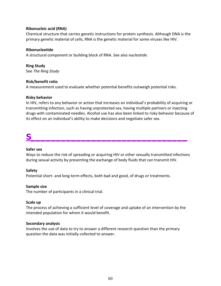## **Ribonucleic acid (RNA)**

Chemical structure that carries genetic instructions for protein synthesis. Although DNA is the primary genetic material of cells, RNA is the genetic material for some viruses like HIV.

## **Ribonucleotide**

A structural component or building block of RNA. See also *nucleotide*.

## **Ring Study**

See *The Ring Study*

#### **Risk/benefit ratio**

A measurement used to evaluate whether potential benefits outweigh potential risks.

#### **Risky behavior**

In HIV, refers to any behavior or action that increases an individual's probability of acquiring or transmitting infection, such as having unprotected sex, having multiple partners or injecting drugs with contaminated needles. Alcohol use has also been linked to risky behavior because of its effect on an individual's ability to make decisions and negotiate safer sex.

# **S\_\_\_\_\_\_\_\_\_\_\_\_\_\_\_\_\_\_\_\_\_\_\_\_\_\_\_\_\_\_\_**

#### **Safer sex**

Ways to reduce the risk of spreading or acquiring HIV or other sexually transmitted infections during sexual activity by preventing the exchange of body fluids that can transmit HIV.

## **Safety**

Potential short- and long-term effects, both bad and good, of drugs or treatments.

#### **Sample size**

The number of participants in a clinical trial.

#### **Scale up**

The process of achieving a sufficient level of coverage and uptake of an intervention by the intended population for whom it would benefit.

#### **Secondary analysis**

Involves the use of data to try to answer a different research question than the primary question the data was initially collected to answer.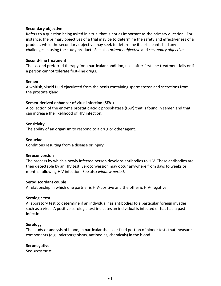## **Secondary objective**

Refers to a question being asked in a trial that is not as important as the primary question. For instance, the primary objectives of a trial may be to determine the safety and effectiveness of a product, while the secondary objective may seek to determine if participants had any challenges in using the study product. See also *primary objective* and *secondary objective*.

#### **Second-line treatment**

The second preferred therapy for a particular condition, used after first-line treatment fails or if a person cannot tolerate first-line drugs.

#### **Semen**

A whitish, viscid fluid ejaculated from the penis containing spermatozoa and secretions from the prostate gland.

#### **Semen-derived enhancer of virus infection (SEVI)**

A collection of the enzyme prostatic acidic phosphatase (PAP) that is found in semen and that can increase the likelihood of HIV infection.

#### **Sensitivity**

The ability of an organism to respond to a drug or other agent.

#### **Sequelae**

Conditions resulting from a disease or injury.

#### **Seroconversion**

The process by which a newly infected person develops antibodies to HIV. These antibodies are then detectable by an HIV test. Seroconversion may occur anywhere from days to weeks or months following HIV infection. See also *window period*.

#### **Serodiscordant couple**

A relationship in which one partner is HIV-positive and the other is HIV-negative.

#### **Serologic test**

A laboratory test to determine if an individual has antibodies to a particular foreign invader, such as a virus. A positive serologic test indicates an individual is infected or has had a past infection.

## **Serology**

The study or analysis of blood, in particular the clear fluid portion of blood; tests that measure components (e.g., microorganisms, antibodies, chemicals) in the blood.

#### **Seronegative**

See *[serostatus](http://www.sfaf.org/custom/glossary.aspx?l=en&id=1344)*.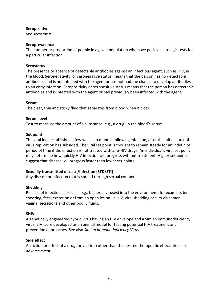## **Seropositive**

See *[serostatus](http://www.sfaf.org/custom/glossary.aspx?l=en&id=1344)*.

## **Seroprevalence**

The number or proportion of people in a given population who have positive serologic tests for a particular infection.

## **Serostatus**

The presence or absence of detectable antibodies against an infectious agent, such as HIV, in the blood. Seronegativity, or seronegative status, means that the person has no detectable antibodies and is not infected with the agent or has not had the chance to develop antibodies to an early infection. Seropositivity or seropositive status means that the person has detectable antibodies and is infected with the agent or had previously been infected with the agent.

#### **Serum**

The clear, thin and sticky fluid that separates from blood when it clots.

## **Serum level**

Test to measure the amount of a substance (e.g., a drug) in the blood's serum.

#### **Set point**

The viral load established a few weeks to months following infection, after the initial burst of virus replication has subsided. The viral set point is thought to remain steady for an indefinite period of time if the infection is not treated with anti-HIV drugs. An individual's viral set point may determine how quickly HIV infection will progress without treatment. Higher set points suggest that disease will progress faster than lower set points.

## **Sexually transmitted disease/infection (STD/STI)**

Any disease or infection that is spread through sexual contact.

## **Shedding**

Release of infectious particles (e.g., bacteria, viruses) into the environment, for example, by sneezing, fecal excretion or from an open lesion. In HIV, viral shedding occurs via semen, vaginal secretions and other bodily fluids.

## **SHIV**

A genetically engineered hybrid virus having an HIV envelope and a Simian immunodeficiency virus (SIV) core developed as an animal model for testing potential HIV treatment and prevention approaches. See also *Simian Immunodeficiency Virus*.

## **Side effect**

An action or effect of a drug (or vaccine) other than the desired therapeutic effect. See also *adverse event*.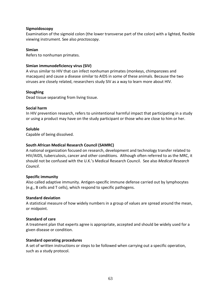## **Sigmoidoscopy**

Examination of the sigmoid colon (the lower transverse part of the colon) with a lighted, flexible viewing instrument. See also *[proctoscopy](http://www.sfaf.org/custom/glossary.aspx?l=en&id=1198)*.

## **Simian**

Refers to nonhuman primates.

## **Simian immunodeficiency virus (SIV)**

A virus similar to HIV that can infect nonhuman primates (monkeys, chimpanzees and macaques) and cause a disease similar to AIDS in some of these animals. Because the two viruses are closely related, researchers study SIV as a way to learn more about HIV.

## **Sloughing**

Dead tissue separating from living tissue.

## **Social harm**

In HIV prevention research, refers to unintentional harmful impact that participating in a study or using a product may have on the study participant or those who are close to him or her.

## **Soluble**

Capable of being dissolved.

## **South African Medical Research Council (SAMRC)**

A national organization focused on research, development and technology transfer related to HIV/AIDS, tuberculosis, cancer and other conditions. Although often referred to as the MRC, it should not be confused with the U.K.'s Medical Research Council. See also *Medical Research Council*.

## **Specific immunity**

Also called adaptive immunity. Antigen-specific immune defense carried out by lymphocytes (e.g., B cells and T cells), which respond to specific pathogens.

## **Standard deviation**

A statistical measure of how widely numbers in a group of values are spread around the mean, or midpoint.

## **Standard of care**

A treatment plan that experts agree is appropriate, accepted and should be widely used for a given disease or condition.

## **Standard operating procedures**

A set of written instructions or steps to be followed when carrying out a specific operation, such as a study protocol.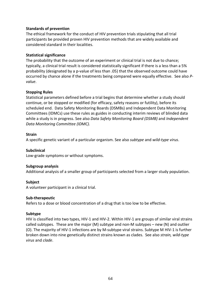## **Standards of prevention**

The ethical framework for the conduct of HIV prevention trials stipulating that all trial participants be provided proven HIV prevention methods that are widely available and considered standard in their localities.

#### **Statistical significance**

The probability that the outcome of an experiment or clinical trial is not due to chance; typically, a clinical trial result is considered statistically significant if there is a less than a 5% probability (designated by a p-value of less than .05) that the observed outcome could have occurred by chance alone if the treatments being compared were equally effective. See also *Pvalue*.

#### **Stopping Rules**

Statistical parameters defined before a trial begins that determine whether a study should continue, or be stopped or modified (for efficacy, safety reasons or futility), before its scheduled end. Data Safety Monitoring Boards (DSMBs) and Independent Data Monitoring Committees (IDMCs) use these rules as guides in conducting interim reviews of blinded data while a study is in progress. See also *Data Safety Monitoring Board (DSMB)* and *Independent Data Monitoring Committee (IDMC).*

#### **Strain**

A specific genetic variant of a particular organism. See also *subtype* and *wild-type virus*.

**Subclinical** Low-grade symptoms or without symptoms.

## **Subgroup analysis**

Additional analysis of a smaller group of participants selected from a larger study population.

#### **Subject**

A volunteer participant in a clinical trial.

#### **Sub-therapeutic**

Refers to a dose or blood concentration of a drug that is too low to be effective.

#### **Subtype**

HIV is classified into two types, HIV-1 and HIV-2. Within HIV-1 are groups of similar viral strains called subtypes. These are the major (M) subtype and non-M subtypes – new (N) and outlier (O). The majority of HIV-1 infections are by M-subtype viral strains. Subtype M HIV-1 is further broken down into nine genetically distinct strains known as clades. See also *strain, wild-type virus* and *clade*.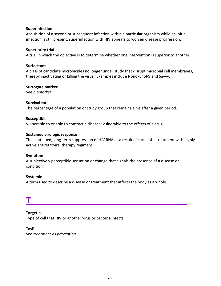## **Superinfection**

Acquisition of a second or subsequent infection within a particular organism while an initial infection is still present; superinfection with HIV appears to worsen disease progression.

## **Superiority trial**

A trial in which the objective is to determine whether one intervention is superior to another.

#### **Surfactants**

A class of candidate microbicides no longer under study that disrupt microbial cell membranes, thereby inactivating or killing the virus. Examples include Nonoxynol-9 and Savvy.

#### **Surrogate marker**

See *biomarker*.

#### **Survival rate**

The percentage of a population or study group that remains alive after a given period.

#### **Susceptible**

Vulnerable to or able to contract a disease; vulnerable to the effects of a drug.

#### **Sustained virologic response**

The continued, long-term suppression of HIV RNA as a result of successful treatment with highly active antiretroviral therapy regimens.

#### **Symptom**

A subjectively perceptible sensation or change that signals the presence of a disease or condition.

#### **Systemic**

A term used to describe a disease or treatment that affects the body as a whole.

## **T\_\_\_\_\_\_\_\_\_\_\_\_\_\_\_\_\_\_\_\_\_\_\_\_\_\_\_\_\_\_\_**

## **Target cell**

Type of cell that HIV or another virus or bacteria infects.

#### **TasP**

See *treatment as prevention*.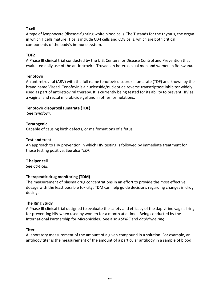## **T cell**

A type of lymphocyte (disease-fighting white blood cell). The T stands for the thymus, the organ in which T cells mature. T cells include CD4 cells and CD8 cells, which are both critical components of the body's immune system.

## **TDF2**

A Phase III clinical trial conducted by the U.S. Centers for Disease Control and Prevention that evaluated daily use of the antiretroviral Truvada in heterosexual men and women in Botswana.

## **Tenofovir**

An antiretroviral (ARV) with the full name tenofovir disoproxil fumarate (TDF) and known by the brand name Viread. Tenofovir is a nucleoside/nucleotide reverse transcriptase inhibitor widely used as part of antiretroviral therapy. It is currently being tested for its ability to prevent HIV as a vaginal and rectal microbicide gel and in other formulations.

## **Tenofovir disoproxil fumarate (TDF)**

See *tenofovir*.

## **Teratogenic**

Capable of causing birth defects, or malformations of a fetus.

## **Test and treat**

An approach to HIV prevention in which HIV testing is followed by immediate treatment for those testing positive. See also *TLC+.*

## **T helper cell**

See *[CD4 cell](http://www.sfaf.org/custom/glossary.aspx?l=en&id=229)*.

## **Therapeutic drug monitoring (TDM)**

The measurement of plasma drug concentrations in an effort to provide the most effective dosage with the least possible toxicity; TDM can help guide decisions regarding changes in drug dosing.

## **The Ring Study**

A Phase III clinical trial designed to evaluate the safety and efficacy of the dapivirine vaginal ring for preventing HIV when used by women for a month at a time. Being conducted by the International Partnership for Microbicides. See also *ASPIRE* and *dapivirine ring*.

## **Titer**

A laboratory measurement of the amount of a given compound in a solution. For example, an antibody titer is the measurement of the amount of a particular antibody in a sample of blood.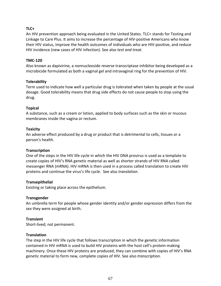## **TLC+**

An HIV prevention approach being evaluated in the United States. TLC+ stands for Testing and Linkage to Care Plus. It aims to increase the percentage of HIV-positive Americans who know their HIV status, improve the health outcomes of individuals who are HIV-positive, and reduce HIV incidence (new cases of HIV infection). See also *test and treat.*

## **TMC-120**

Also known as dapivirine, a nonnucleoside reverse transcriptase inhibitor being developed as a microbicide formulated as both a vaginal gel and intravaginal ring for the prevention of HIV.

## **Tolerability**

Term used to indicate how well a particular drug is tolerated when taken by people at the usual dosage. Good tolerability means that drug side effects do not cause people to stop using the drug.

## **Topical**

A substance, such as a cream or lotion, applied to body surfaces such as the skin or mucous membranes inside the vagina or rectum.

## **Toxicity**

An adverse effect produced by a drug or product that is detrimental to cells, tissues or a person's health.

## **Transcription**

One of the steps in the HIV life cycle in which the HIV DNA provirus is used as a template to create copies of HIV's RNA genetic material as well as shorter strands of HIV RNA called messenger RNA (mRNA). HIV mRNA is then used in a process called translation to create HIV proteins and continue the virus's life cycle. See also *translation*.

## **Transepithelial**

Existing or taking place across the epithelium.

## **Transgender**

An umbrella term for people whose gender identity and/or gender expression differs from the sex they were assigned at birth.

## **Transient**

Short-lived; not permanent.

## **Translation**

The step in the HIV life cycle that follows transcription in which the genetic information contained in HIV mRNA is used to build HIV proteins with the host cell's protein-making machinery. Once these HIV proteins are produced, they can combine with copies of HIV's RNA genetic material to form new, complete copies of HIV. See also *transcription*.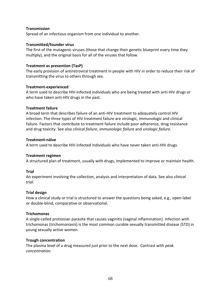## **Transmission**

Spread of an infectious organism from one individual to another.

## **Transmitted/founder virus**

The first of the mutagenic viruses (those that change their genetic blueprint every time they multiply), and the original basis for all of the viruses that follow.

## **Treatment as prevention (TasP)**

The early provision of antiretroviral treatment in people with HIV in order to reduce their risk of transmitting the virus to others through sex.

## **Treatment-experienced**

A term used to describe HIV-infected individuals who are being treated with anti-HIV drugs or who have taken anti-HIV drugs in the past.

## **Treatment failure**

A broad term that describes failure of an anti-HIV treatment to adequately control HIV infection. The three types of HIV treatment failure are virologic, immunologic and clinical failure. Factors that contribute to treatment failure include poor adherence, drug resistance and drug toxicity. See also *clinical failure*, *immunologic failure* and v*irologic failure.*

## **Treatment-näive**

A term used to describe HIV-infected individuals who have never taken anti-HIV drugs.

## **Treatment regimen**

A structured plan of treatment, usually with drugs, implemented to improve or maintain health.

## **Trial**

An experiment involving the collection, analysis and interpretation of data. See also *[clinical](http://www.sfaf.org/custom/glossary.aspx?l=en&id=275)  [trial](http://www.sfaf.org/custom/glossary.aspx?l=en&id=275)*.

## **Trial design**

How a clinical study or trial is structured to answer the questions being asked, e.g., open-label or double-blind, comparative or observational.

## **Trichomonas**

A single-celled protozoan parasite that causes vaginitis (vaginal inflammation). Infection with trichomonas (trichomoniasis) is the most common curable sexually transmitted disease (STD) in young sexually active women.

## **Trough concentration**

The plasma level of a drug measured just prior to the next dose. Contrast with *peak concentration.*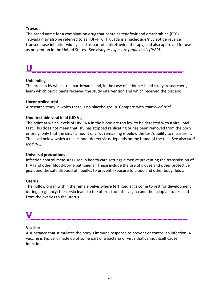## **Truvada**

The brand name for a combination drug that contains tenofovir and emtrictabine (FTC). Truvada may also be referred to as TDF+FTC. Truvada is a nucleoside/nucleotide reverse transcriptase inhibitor widely used as part of antiretroviral therapy, and also approved for use as prevention in the United States. See also *pre-exposure prophylaxis (PrEP)*.

# **U\_\_\_\_\_\_\_\_\_\_\_\_\_\_\_\_\_\_\_\_\_\_\_\_\_\_\_\_\_\_**

## **Unblinding**

The process by which trial participants and, in the case of a double-blind study, researchers, learn which participants received the study intervention and which received the placebo.

## **Uncontrolled trial**

A research study in which there is no placebo group. Compare with *[controlled trial](http://www.sfaf.org/custom/glossary.aspx?l=en&id=324)*.

## **Undetectable viral load (UD VL)**

The point at which levels of HIV RNA in the blood are too low to be detected with a viral load test. This does not mean that HIV has stopped replicating or has been removed from the body entirely, only that the small amount of virus remaining is below the test's ability to measure it. The level below which a test cannot detect virus depends on the brand of the test. See also *viral load (VL)*.

## **Universal precautions**

Infection control measures used in health care settings aimed at preventing the transmission of HIV (and other blood-borne pathogens). These include the use of gloves and other protective gear, and the safe disposal of needles to prevent exposure to blood and other body fluids.

## **Uterus**

The hollow organ within the female pelvis where fertilized eggs come to rest for development during pregnancy; the cervix leads to the uterus from the vagina and the fallopian tubes lead from the ovaries to the uterus.

# **V\_\_\_\_\_\_\_\_\_\_\_\_\_\_\_\_\_\_\_\_\_\_\_\_\_\_\_\_\_\_\_**

## **Vaccine**

A substance that stimulates the body's immune response to prevent or control an infection. A vaccine is typically made up of some part of a bacteria or virus that cannot itself cause infection.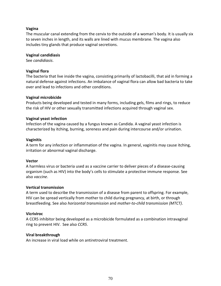## **Vagina**

The muscular canal extending from the cervix to the outside of a woman's body. It is usually six to seven inches in length, and its walls are lined with mucus membrane. The vagina also includes tiny glands that produce vaginal secretions.

## **Vaginal candidiasis**

See *[candidiasis](http://www.sfaf.org/custom/glossary.aspx?l=en&id=203)*.

## **Vaginal flora**

The bacteria that live inside the vagina, consisting primarily of lactobacilli, that aid in forming a natural defense against infections. An imbalance of vaginal flora can allow bad bacteria to take over and lead to infections and other conditions.

## **Vaginal microbicide**

Products being developed and tested in many forms, including gels, films and rings, to reduce the risk of HIV or other sexually transmitted infections acquired through vaginal sex.

#### **Vaginal yeast infection**

Infection of the vagina caused by a fungus known as Candida. A vaginal yeast infection is characterized by itching, burning, soreness and pain during intercourse and/or urination.

#### **Vaginitis**

A term for any infection or inflammation of the vagina. In general, vaginitis may cause itching, irritation or abnormal vaginal discharge.

## **Vector**

A harmless virus or bacteria used as a vaccine carrier to deliver pieces of a disease-causing organism (such as HIV) into the body's cells to stimulate a protective immune response. See also *vaccine*.

## **Vertical transmission**

A term used to describe the transmission of a disease from parent to offspring. For example, HIV can be spread vertically from mother to child during pregnancy, at birth, or through breastfeeding. See also *horizontal transmission* and *mother-to-child transmission (MTCT)*.

## **Vicriviroc**

A CCR5 inhibitor being developed as a microbicide formulated as a combination intravaginal ring to prevent HIV. See also *CCR5*.

## **Viral breakthrough**

An increase in viral load while on antiretroviral treatment.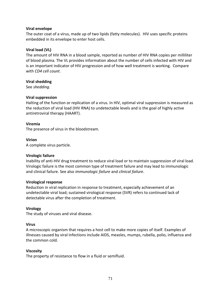## **Viral envelope**

The outer coat of a virus, made up of two lipids (fatty molecules). HIV uses specific proteins embedded in its envelope to enter host cells.

## **Viral load (VL)**

The amount of HIV RNA in a blood sample, reported as number of HIV RNA copies per milliliter of blood plasma. The VL provides information about the number of cells infected with HIV and is an important indicator of HIV progression and of how well treatment is working. Compare with *CD4 cell count*.

## **Viral shedding**

See *shedding*.

## **Viral suppression**

Halting of the function or replication of a virus. In HIV, optimal viral suppression is measured as the reduction of viral load (HIV RNA) to undetectable levels and is the goal of highly active antiretroviral therapy (HAART).

## **Viremia**

The presence of virus in the bloodstream.

## **Virion**

A complete virus particle.

## **Virologic failure**

Inability of anti-HIV drug treatment to reduce viral load or to maintain suppression of viral load. Virologic failure is the most common type of treatment failure and may lead to immunologic and clinical failure. See also *immunologic failure* and *clinical failure*.

## **Virological response**

Reduction in viral replication in response to treatment, especially achievement of an undetectable viral load; sustained virological response (SVR) refers to continued lack of detectable virus after the completion of treatment.

## **Virology**

The study of viruses and viral disease.

## **Virus**

A microscopic organism that requires a host cell to make more copies of itself. Examples of illnesses caused by viral infections include AIDS, measles, mumps, rubella, polio, influenza and the common cold.

## **Viscosity**

The property of resistance to flow in a fluid or semifluid.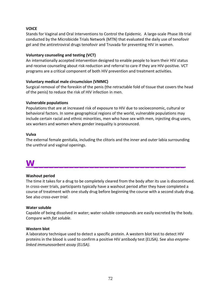## **VOICE**

Stands for Vaginal and Oral Interventions to Control the Epidemic. A large-scale Phase IIb trial conducted by the Microbicide Trials Network (MTN) that evaluated the daily use of tenofovir gel and the antiretroviral drugs tenofovir and Truvada for preventing HIV in women.

## **Voluntary counseling and testing (VCT)**

An internationally accepted intervention designed to enable people to learn their HIV status and receive counseling about risk reduction and referral to care if they are HIV-positive. VCT programs are a critical component of both HIV prevention and treatment activities.

## **Voluntary medical male circumcision (VMMC)**

Surgical removal of the foreskin of the penis (the retractable fold of tissue that covers the head of the penis) to reduce the risk of HIV infection in men.

## **Vulnerable populations**

Populations that are at increased risk of exposure to HIV due to socioeconomic, cultural or behavioral factors. In some geographical regions of the world, vulnerable populations may include certain racial and ethnic minorities, men who have sex with men, injecting drug users, sex workers and women where gender inequality is pronounced.

## **Vulva**

The external female genitalia, including the clitoris and the inner and outer labia surrounding the urethral and vaginal openings.

# **W\_\_\_\_\_\_\_\_\_\_\_\_\_\_\_\_\_\_\_\_\_\_\_\_\_\_\_\_\_\_**

## **Washout period**

The time it takes for a drug to be completely cleared from the body after its use is discontinued. In cross-over trials, participants typically have a washout period after they have completed a course of treatment with one study drug before beginning the course with a second study drug. See also *cross-over trial*.

## **Water soluble**

Capable of being dissolved in water; water-soluble compounds are easily excreted by the body. Compare with *[fat soluble](http://www.sfaf.org/custom/glossary.aspx?l=en&id=523)*.

## **Western blot**

A laboratory technique used to detect a specific protein. A western blot test to detect HIV proteins in the blood is used to confirm a positive HIV antibody test (ELISA). See also *enzymelinked immunosorbent assay (ELISA)*.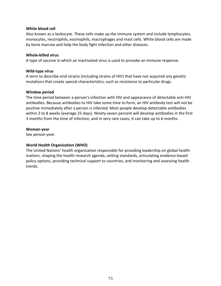## **White blood cell**

Also known as a leukocyte. These cells make up the immune system and include lymphocytes, monocytes, neutrophils, eosinophils, macrophages and mast cells. White blood cells are made by bone marrow and help the body fight infection and other diseases.

#### **Whole-killed virus**

A type of vaccine in which an inactivated virus is used to provoke an immune response.

#### **Wild-type virus**

A term to describe viral strains (including strains of HIV) that have not acquired any genetic mutations that create special characteristics, such as resistance to particular drugs.

#### **Window period**

The time period between a person's infection with HIV and appearance of detectable anti-HIV antibodies. Because antibodies to HIV take some time to form, an HIV antibody test will not be positive immediately after a person is infected. Most people develop detectable antibodies within 2 to 8 weeks (average 25 days). Ninety-seven percent will develop antibodies in the first 3 months from the time of infection, and in very rare cases, it can take up to 6 months.

#### **Woman-year**

See *person-year.*

## **World Health Organization (WHO)**

The United Nations' health organization responsible for providing leadership on global health matters, shaping the health research agenda, setting standards, articulating evidence-based policy options, providing technical support to countries, and monitoring and assessing health trends.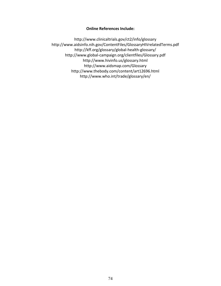# **Online References Include:**

<http://www.clinicaltrials.gov/ct2/info/glossary> <http://www.aidsinfo.nih.gov/ContentFiles/GlossaryHIVrelatedTerms.pdf> <http://kff.org/glossary/global-health-glossary/> <http://www.global-campaign.org/clientfiles/Glossary.pdf> <http://www.hivinfo.us/glossary.html> <http://www.aidsmap.com/Glossary> <http://www.thebody.com/content/art12696.html> <http://www.who.int/trade/glossary/en/>